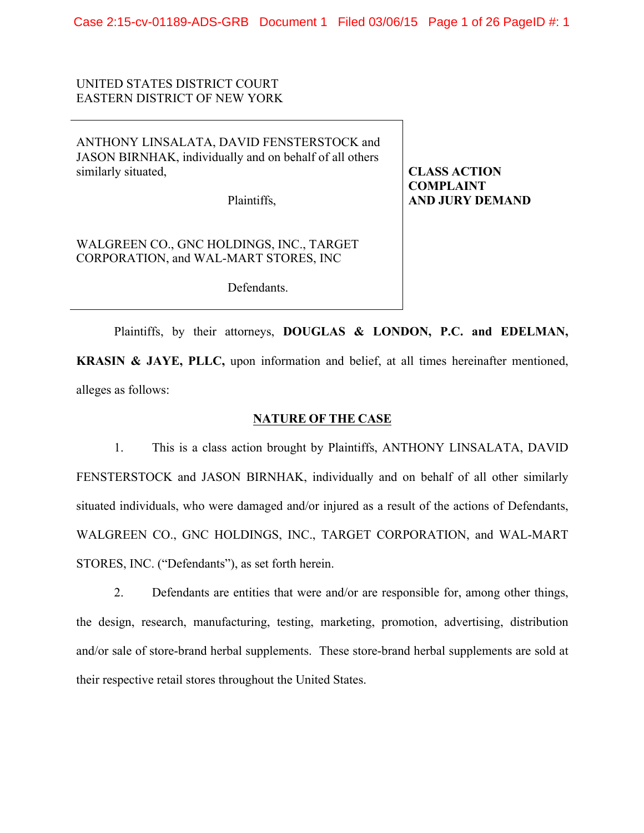Case 2:15-cv-01189-ADS-GRB Document 1 Filed 03/06/15 Page 1 of 26 PageID #: 1

# UNITED STATES DISTRICT COURT EASTERN DISTRICT OF NEW YORK

ANTHONY LINSALATA, DAVID FENSTERSTOCK and JASON BIRNHAK, individually and on behalf of all others similarly situated,

Plaintiffs,

**CLASS ACTION COMPLAINT AND JURY DEMAND**

WALGREEN CO., GNC HOLDINGS, INC., TARGET CORPORATION, and WAL-MART STORES, INC

Defendants.

Plaintiffs, by their attorneys, **DOUGLAS & LONDON, P.C. and EDELMAN, KRASIN & JAYE, PLLC,** upon information and belief, at all times hereinafter mentioned, alleges as follows:

## **NATURE OF THE CASE**

1. This is a class action brought by Plaintiffs, ANTHONY LINSALATA, DAVID FENSTERSTOCK and JASON BIRNHAK, individually and on behalf of all other similarly situated individuals, who were damaged and/or injured as a result of the actions of Defendants, WALGREEN CO., GNC HOLDINGS, INC., TARGET CORPORATION, and WAL-MART STORES, INC. ("Defendants"), as set forth herein.

2. Defendants are entities that were and/or are responsible for, among other things, the design, research, manufacturing, testing, marketing, promotion, advertising, distribution and/or sale of store-brand herbal supplements. These store-brand herbal supplements are sold at their respective retail stores throughout the United States.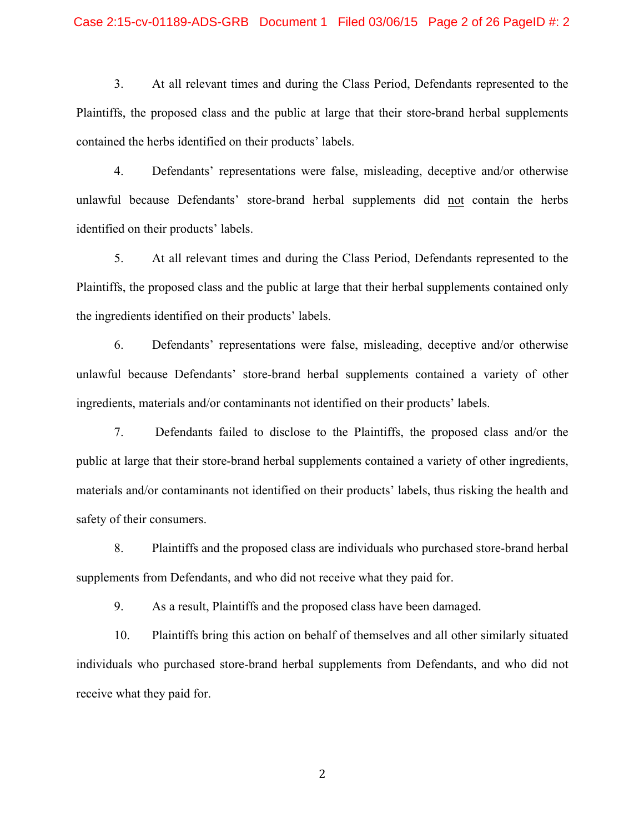# Case 2:15-cv-01189-ADS-GRB Document 1 Filed 03/06/15 Page 2 of 26 PageID #: 2

3. At all relevant times and during the Class Period, Defendants represented to the Plaintiffs, the proposed class and the public at large that their store-brand herbal supplements contained the herbs identified on their products' labels.

4. Defendants' representations were false, misleading, deceptive and/or otherwise unlawful because Defendants' store-brand herbal supplements did not contain the herbs identified on their products' labels.

5. At all relevant times and during the Class Period, Defendants represented to the Plaintiffs, the proposed class and the public at large that their herbal supplements contained only the ingredients identified on their products' labels.

6. Defendants' representations were false, misleading, deceptive and/or otherwise unlawful because Defendants' store-brand herbal supplements contained a variety of other ingredients, materials and/or contaminants not identified on their products' labels.

7. Defendants failed to disclose to the Plaintiffs, the proposed class and/or the public at large that their store-brand herbal supplements contained a variety of other ingredients, materials and/or contaminants not identified on their products' labels, thus risking the health and safety of their consumers.

8. Plaintiffs and the proposed class are individuals who purchased store-brand herbal supplements from Defendants, and who did not receive what they paid for.

9. As a result, Plaintiffs and the proposed class have been damaged.

10. Plaintiffs bring this action on behalf of themselves and all other similarly situated individuals who purchased store-brand herbal supplements from Defendants, and who did not receive what they paid for.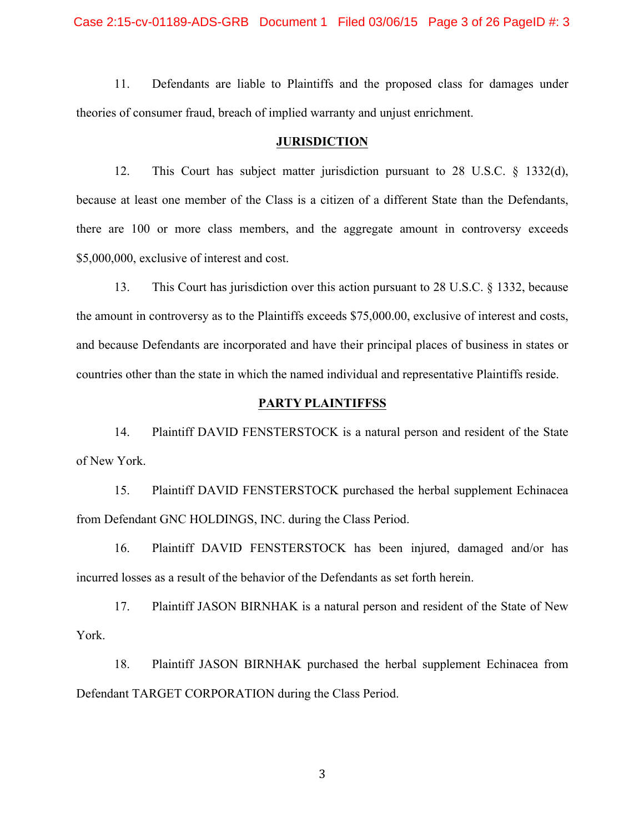11. Defendants are liable to Plaintiffs and the proposed class for damages under theories of consumer fraud, breach of implied warranty and unjust enrichment.

#### **JURISDICTION**

12. This Court has subject matter jurisdiction pursuant to 28 U.S.C. § 1332(d), because at least one member of the Class is a citizen of a different State than the Defendants, there are 100 or more class members, and the aggregate amount in controversy exceeds \$5,000,000, exclusive of interest and cost.

13. This Court has jurisdiction over this action pursuant to 28 U.S.C. § 1332, because the amount in controversy as to the Plaintiffs exceeds \$75,000.00, exclusive of interest and costs, and because Defendants are incorporated and have their principal places of business in states or countries other than the state in which the named individual and representative Plaintiffs reside.

#### **PARTY PLAINTIFFSS**

14. Plaintiff DAVID FENSTERSTOCK is a natural person and resident of the State of New York.

15. Plaintiff DAVID FENSTERSTOCK purchased the herbal supplement Echinacea from Defendant GNC HOLDINGS, INC. during the Class Period.

16. Plaintiff DAVID FENSTERSTOCK has been injured, damaged and/or has incurred losses as a result of the behavior of the Defendants as set forth herein.

17. Plaintiff JASON BIRNHAK is a natural person and resident of the State of New York.

18. Plaintiff JASON BIRNHAK purchased the herbal supplement Echinacea from Defendant TARGET CORPORATION during the Class Period.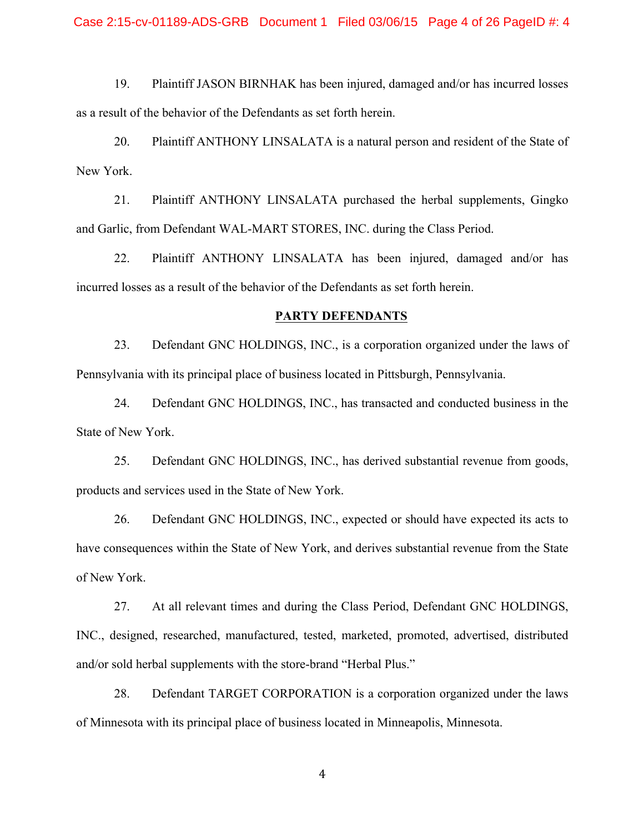19. Plaintiff JASON BIRNHAK has been injured, damaged and/or has incurred losses as a result of the behavior of the Defendants as set forth herein.

20. Plaintiff ANTHONY LINSALATA is a natural person and resident of the State of New York.

21. Plaintiff ANTHONY LINSALATA purchased the herbal supplements, Gingko and Garlic, from Defendant WAL-MART STORES, INC. during the Class Period.

22. Plaintiff ANTHONY LINSALATA has been injured, damaged and/or has incurred losses as a result of the behavior of the Defendants as set forth herein.

#### **PARTY DEFENDANTS**

23. Defendant GNC HOLDINGS, INC., is a corporation organized under the laws of Pennsylvania with its principal place of business located in Pittsburgh, Pennsylvania.

24. Defendant GNC HOLDINGS, INC., has transacted and conducted business in the State of New York.

25. Defendant GNC HOLDINGS, INC., has derived substantial revenue from goods, products and services used in the State of New York.

26. Defendant GNC HOLDINGS, INC., expected or should have expected its acts to have consequences within the State of New York, and derives substantial revenue from the State of New York.

27. At all relevant times and during the Class Period, Defendant GNC HOLDINGS, INC., designed, researched, manufactured, tested, marketed, promoted, advertised, distributed and/or sold herbal supplements with the store-brand "Herbal Plus."

28. Defendant TARGET CORPORATION is a corporation organized under the laws of Minnesota with its principal place of business located in Minneapolis, Minnesota.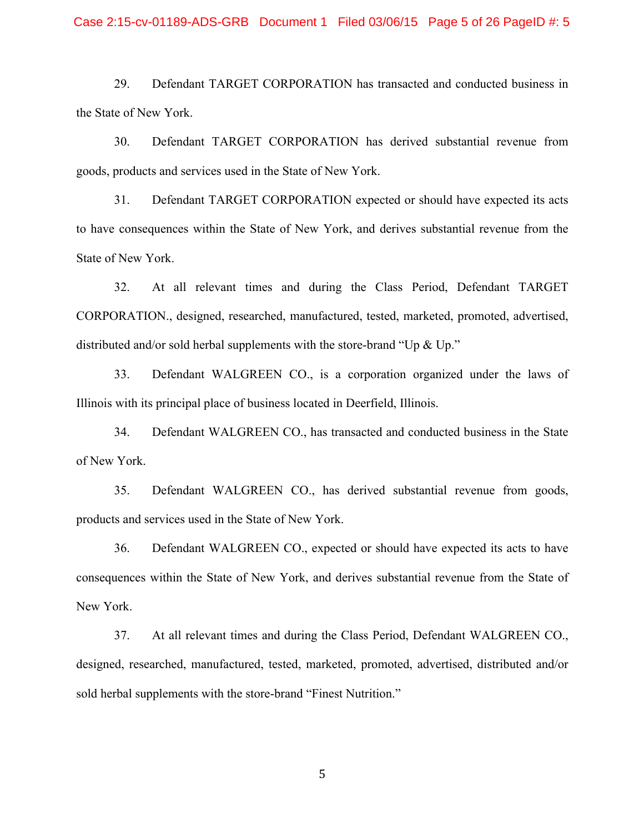# Case 2:15-cv-01189-ADS-GRB Document 1 Filed 03/06/15 Page 5 of 26 PageID #: 5

29. Defendant TARGET CORPORATION has transacted and conducted business in the State of New York.

30. Defendant TARGET CORPORATION has derived substantial revenue from goods, products and services used in the State of New York.

31. Defendant TARGET CORPORATION expected or should have expected its acts to have consequences within the State of New York, and derives substantial revenue from the State of New York.

32. At all relevant times and during the Class Period, Defendant TARGET CORPORATION., designed, researched, manufactured, tested, marketed, promoted, advertised, distributed and/or sold herbal supplements with the store-brand "Up & Up."

33. Defendant WALGREEN CO., is a corporation organized under the laws of Illinois with its principal place of business located in Deerfield, Illinois.

34. Defendant WALGREEN CO., has transacted and conducted business in the State of New York.

35. Defendant WALGREEN CO., has derived substantial revenue from goods, products and services used in the State of New York.

36. Defendant WALGREEN CO., expected or should have expected its acts to have consequences within the State of New York, and derives substantial revenue from the State of New York.

37. At all relevant times and during the Class Period, Defendant WALGREEN CO., designed, researched, manufactured, tested, marketed, promoted, advertised, distributed and/or sold herbal supplements with the store-brand "Finest Nutrition."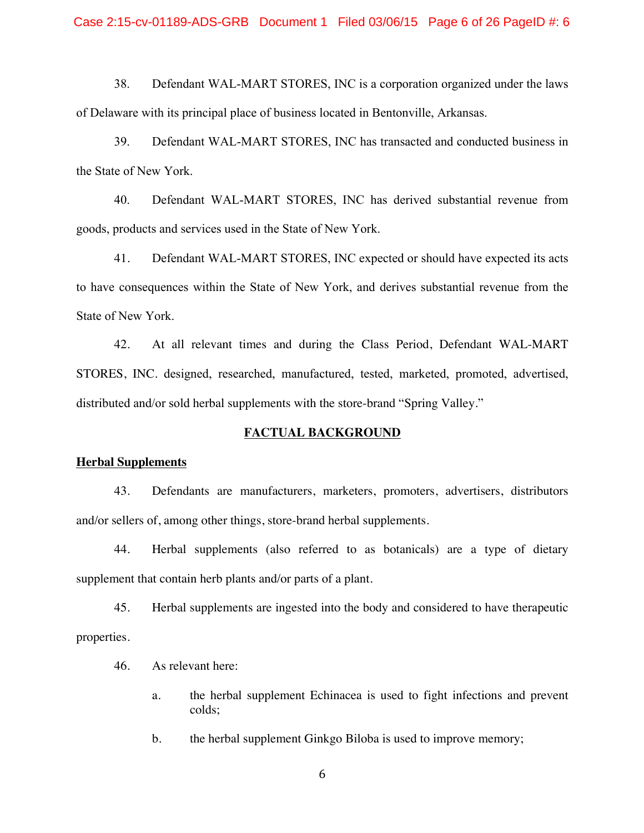38. Defendant WAL-MART STORES, INC is a corporation organized under the laws of Delaware with its principal place of business located in Bentonville, Arkansas.

39. Defendant WAL-MART STORES, INC has transacted and conducted business in the State of New York.

40. Defendant WAL-MART STORES, INC has derived substantial revenue from goods, products and services used in the State of New York.

41. Defendant WAL-MART STORES, INC expected or should have expected its acts to have consequences within the State of New York, and derives substantial revenue from the State of New York.

42. At all relevant times and during the Class Period, Defendant WAL-MART STORES, INC. designed, researched, manufactured, tested, marketed, promoted, advertised, distributed and/or sold herbal supplements with the store-brand "Spring Valley."

## **FACTUAL BACKGROUND**

## **Herbal Supplements**

43. Defendants are manufacturers, marketers, promoters, advertisers, distributors and/or sellers of, among other things, store-brand herbal supplements.

44. Herbal supplements (also referred to as botanicals) are a type of dietary supplement that contain herb plants and/or parts of a plant.

45. Herbal supplements are ingested into the body and considered to have therapeutic properties.

- 46. As relevant here:
	- a. the herbal supplement Echinacea is used to fight infections and prevent colds;
	- b. the herbal supplement Ginkgo Biloba is used to improve memory;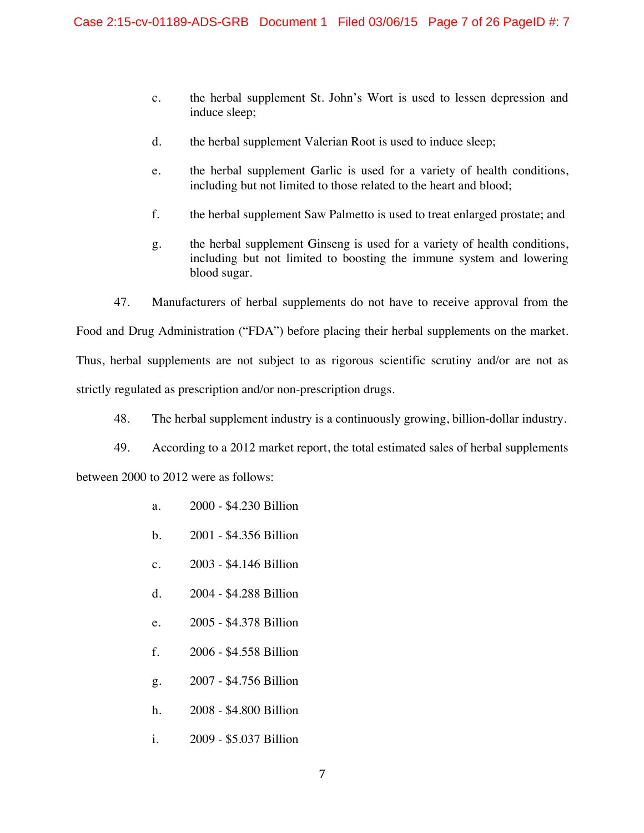- c. the herbal supplement St. John's Wort is used to lessen depression and induce sleep;
- d. the herbal supplement Valerian Root is used to induce sleep;
- e. the herbal supplement Garlic is used for a variety of health conditions, including but not limited to those related to the heart and blood;
- f. the herbal supplement Saw Palmetto is used to treat enlarged prostate; and
- g. the herbal supplement Ginseng is used for a variety of health conditions, including but not limited to boosting the immune system and lowering blood sugar.

47. Manufacturers of herbal supplements do not have to receive approval from the Food and Drug Administration ("FDA") before placing their herbal supplements on the market.

Thus, herbal supplements are not subject to as rigorous scientific scrutiny and/or are not as

strictly regulated as prescription and/or non-prescription drugs.

- 48. The herbal supplement industry is a continuously growing, billion-dollar industry.
- 49. According to a 2012 market report, the total estimated sales of herbal supplements

between 2000 to 2012 were as follows:

- a. 2000 \$4.230 Billion
- b. 2001 \$4.356 Billion
- c. 2003 \$4.146 Billion
- d. 2004 \$4.288 Billion
- e. 2005 \$4.378 Billion
- f. 2006 \$4.558 Billion
- g. 2007 \$4.756 Billion
- h. 2008 \$4.800 Billion
- i. 2009 \$5.037 Billion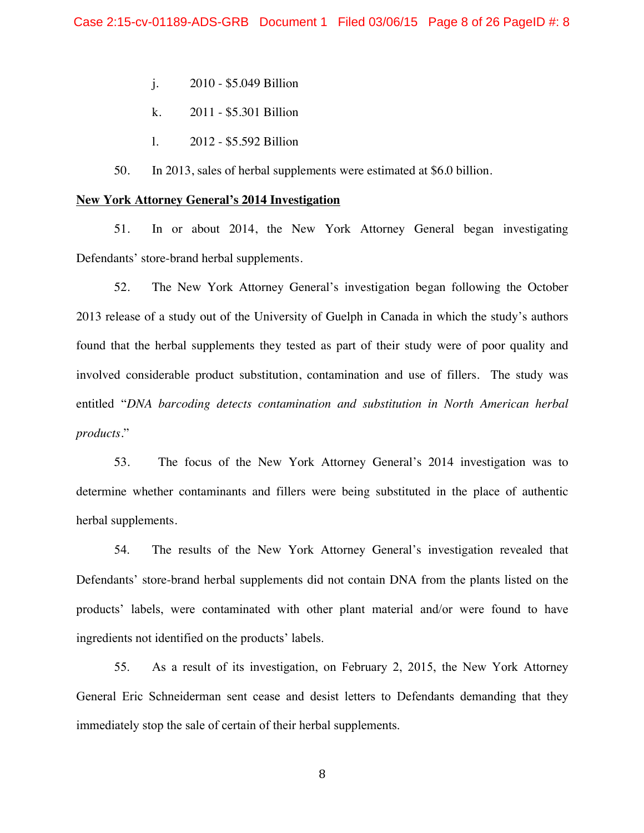- j. 2010 \$5.049 Billion
- k. 2011 \$5.301 Billion
- l. 2012 \$5.592 Billion

50. In 2013, sales of herbal supplements were estimated at \$6.0 billion.

#### **New York Attorney General's 2014 Investigation**

51. In or about 2014, the New York Attorney General began investigating Defendants' store-brand herbal supplements.

52. The New York Attorney General's investigation began following the October 2013 release of a study out of the University of Guelph in Canada in which the study's authors found that the herbal supplements they tested as part of their study were of poor quality and involved considerable product substitution, contamination and use of fillers. The study was entitled "*DNA barcoding detects contamination and substitution in North American herbal products.*"

53. The focus of the New York Attorney General's 2014 investigation was to determine whether contaminants and fillers were being substituted in the place of authentic herbal supplements.

54. The results of the New York Attorney General's investigation revealed that Defendants' store-brand herbal supplements did not contain DNA from the plants listed on the products' labels, were contaminated with other plant material and/or were found to have ingredients not identified on the products' labels.

55. As a result of its investigation, on February 2, 2015, the New York Attorney General Eric Schneiderman sent cease and desist letters to Defendants demanding that they immediately stop the sale of certain of their herbal supplements.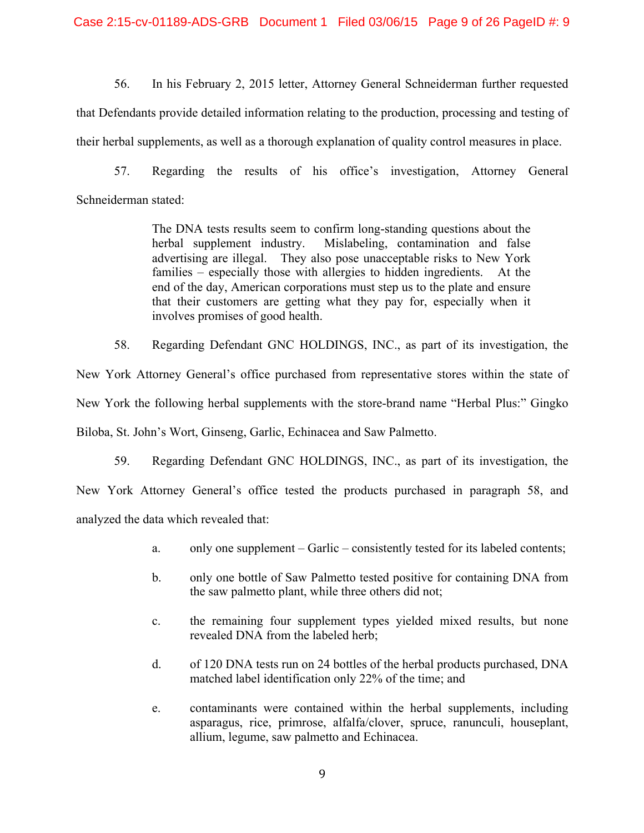56. In his February 2, 2015 letter, Attorney General Schneiderman further requested that Defendants provide detailed information relating to the production, processing and testing of their herbal supplements, as well as a thorough explanation of quality control measures in place.

57. Regarding the results of his office's investigation, Attorney General Schneiderman stated:

> The DNA tests results seem to confirm long-standing questions about the herbal supplement industry. Mislabeling, contamination and false advertising are illegal. They also pose unacceptable risks to New York families – especially those with allergies to hidden ingredients. At the end of the day, American corporations must step us to the plate and ensure that their customers are getting what they pay for, especially when it involves promises of good health.

58. Regarding Defendant GNC HOLDINGS, INC., as part of its investigation, the New York Attorney General's office purchased from representative stores within the state of New York the following herbal supplements with the store-brand name "Herbal Plus:" Gingko Biloba, St. John's Wort, Ginseng, Garlic, Echinacea and Saw Palmetto.

59. Regarding Defendant GNC HOLDINGS, INC., as part of its investigation, the New York Attorney General's office tested the products purchased in paragraph 58, and analyzed the data which revealed that:

- a. only one supplement Garlic consistently tested for its labeled contents;
- b. only one bottle of Saw Palmetto tested positive for containing DNA from the saw palmetto plant, while three others did not;
- c. the remaining four supplement types yielded mixed results, but none revealed DNA from the labeled herb;
- d. of 120 DNA tests run on 24 bottles of the herbal products purchased, DNA matched label identification only 22% of the time; and
- e. contaminants were contained within the herbal supplements, including asparagus, rice, primrose, alfalfa/clover, spruce, ranunculi, houseplant, allium, legume, saw palmetto and Echinacea.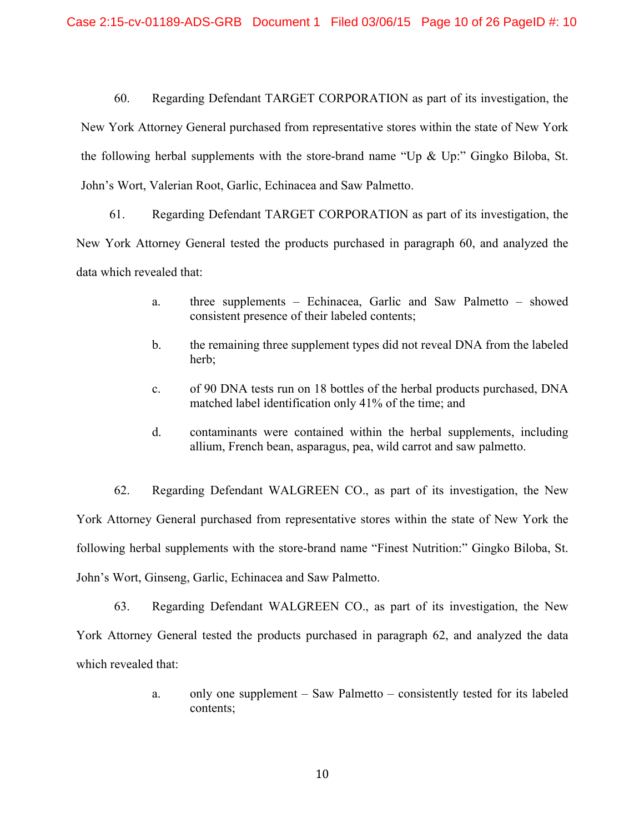60. Regarding Defendant TARGET CORPORATION as part of its investigation, the New York Attorney General purchased from representative stores within the state of New York the following herbal supplements with the store-brand name "Up  $\&$  Up:" Gingko Biloba, St. John's Wort, Valerian Root, Garlic, Echinacea and Saw Palmetto.

61. Regarding Defendant TARGET CORPORATION as part of its investigation, the New York Attorney General tested the products purchased in paragraph 60, and analyzed the data which revealed that:

- a. three supplements Echinacea, Garlic and Saw Palmetto showed consistent presence of their labeled contents;
- b. the remaining three supplement types did not reveal DNA from the labeled herb;
- c. of 90 DNA tests run on 18 bottles of the herbal products purchased, DNA matched label identification only 41% of the time; and
- d. contaminants were contained within the herbal supplements, including allium, French bean, asparagus, pea, wild carrot and saw palmetto.

62. Regarding Defendant WALGREEN CO., as part of its investigation, the New York Attorney General purchased from representative stores within the state of New York the following herbal supplements with the store-brand name "Finest Nutrition:" Gingko Biloba, St. John's Wort, Ginseng, Garlic, Echinacea and Saw Palmetto.

63. Regarding Defendant WALGREEN CO., as part of its investigation, the New York Attorney General tested the products purchased in paragraph 62, and analyzed the data which revealed that:

> a. only one supplement – Saw Palmetto – consistently tested for its labeled contents;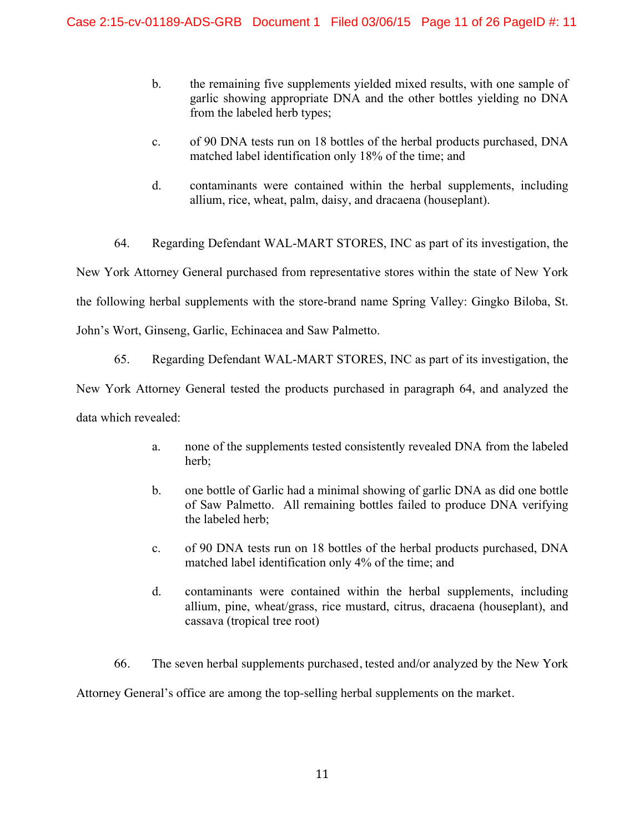- b. the remaining five supplements yielded mixed results, with one sample of garlic showing appropriate DNA and the other bottles yielding no DNA from the labeled herb types;
- c. of 90 DNA tests run on 18 bottles of the herbal products purchased, DNA matched label identification only 18% of the time; and
- d. contaminants were contained within the herbal supplements, including allium, rice, wheat, palm, daisy, and dracaena (houseplant).

64. Regarding Defendant WAL-MART STORES, INC as part of its investigation, the

New York Attorney General purchased from representative stores within the state of New York the following herbal supplements with the store-brand name Spring Valley: Gingko Biloba, St. John's Wort, Ginseng, Garlic, Echinacea and Saw Palmetto.

65. Regarding Defendant WAL-MART STORES, INC as part of its investigation, the New York Attorney General tested the products purchased in paragraph 64, and analyzed the data which revealed:

- a. none of the supplements tested consistently revealed DNA from the labeled herb;
- b. one bottle of Garlic had a minimal showing of garlic DNA as did one bottle of Saw Palmetto. All remaining bottles failed to produce DNA verifying the labeled herb;
- c. of 90 DNA tests run on 18 bottles of the herbal products purchased, DNA matched label identification only 4% of the time; and
- d. contaminants were contained within the herbal supplements, including allium, pine, wheat/grass, rice mustard, citrus, dracaena (houseplant), and cassava (tropical tree root)

66. The seven herbal supplements purchased, tested and/or analyzed by the New York

Attorney General's office are among the top-selling herbal supplements on the market.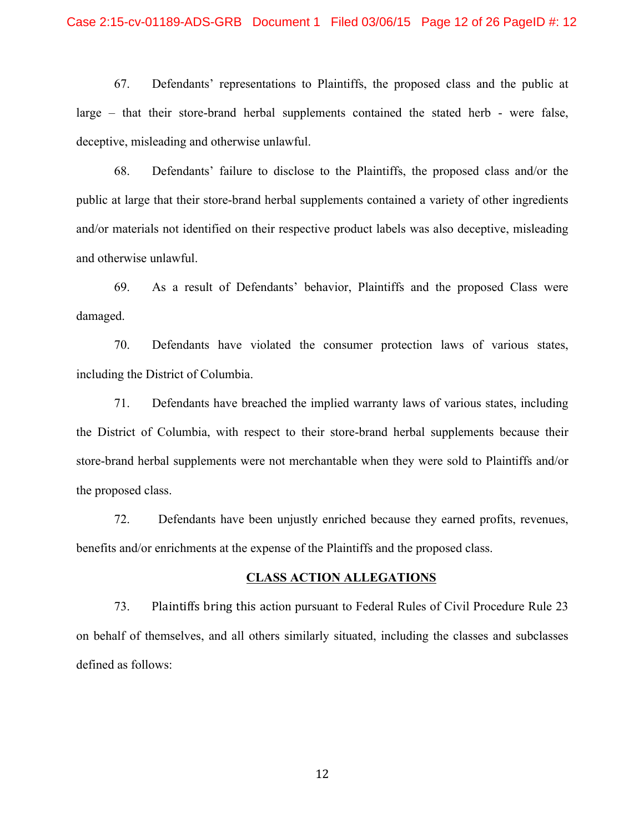## Case 2:15-cv-01189-ADS-GRB Document 1 Filed 03/06/15 Page 12 of 26 PageID #: 12

67. Defendants' representations to Plaintiffs, the proposed class and the public at large – that their store-brand herbal supplements contained the stated herb - were false, deceptive, misleading and otherwise unlawful.

68. Defendants' failure to disclose to the Plaintiffs, the proposed class and/or the public at large that their store-brand herbal supplements contained a variety of other ingredients and/or materials not identified on their respective product labels was also deceptive, misleading and otherwise unlawful.

69. As a result of Defendants' behavior, Plaintiffs and the proposed Class were damaged.

70. Defendants have violated the consumer protection laws of various states, including the District of Columbia.

71. Defendants have breached the implied warranty laws of various states, including the District of Columbia, with respect to their store-brand herbal supplements because their store-brand herbal supplements were not merchantable when they were sold to Plaintiffs and/or the proposed class.

72. Defendants have been unjustly enriched because they earned profits, revenues, benefits and/or enrichments at the expense of the Plaintiffs and the proposed class.

## **CLASS ACTION ALLEGATIONS**

73. Plaintiffs bring this action pursuant to Federal Rules of Civil Procedure Rule 23 on behalf of themselves, and all others similarly situated, including the classes and subclasses defined as follows: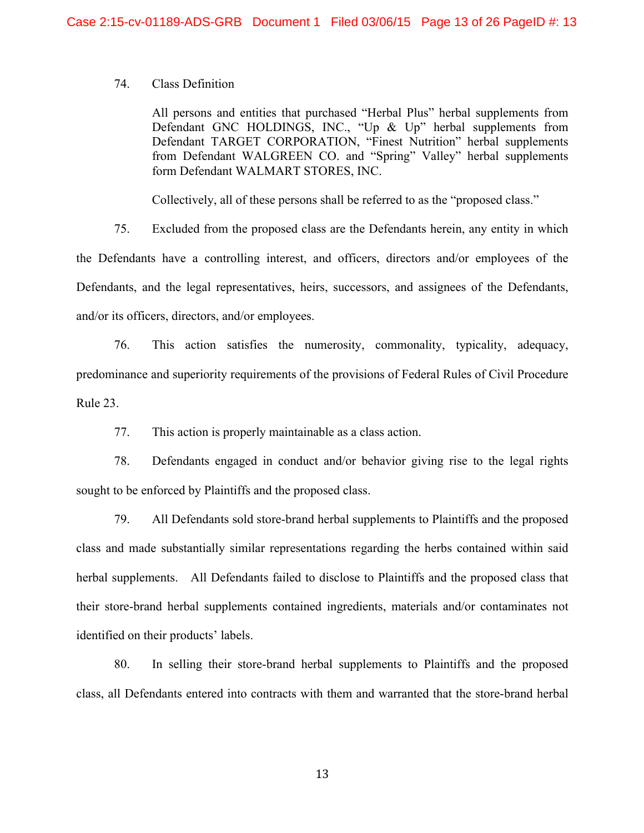## 74. Class Definition

All persons and entities that purchased "Herbal Plus" herbal supplements from Defendant GNC HOLDINGS, INC., "Up & Up" herbal supplements from Defendant TARGET CORPORATION, "Finest Nutrition" herbal supplements from Defendant WALGREEN CO. and "Spring" Valley" herbal supplements form Defendant WALMART STORES, INC.

Collectively, all of these persons shall be referred to as the "proposed class."

75. Excluded from the proposed class are the Defendants herein, any entity in which

the Defendants have a controlling interest, and officers, directors and/or employees of the Defendants, and the legal representatives, heirs, successors, and assignees of the Defendants, and/or its officers, directors, and/or employees.

76. This action satisfies the numerosity, commonality, typicality, adequacy, predominance and superiority requirements of the provisions of Federal Rules of Civil Procedure Rule 23.

77. This action is properly maintainable as a class action.

78. Defendants engaged in conduct and/or behavior giving rise to the legal rights sought to be enforced by Plaintiffs and the proposed class.

79. All Defendants sold store-brand herbal supplements to Plaintiffs and the proposed class and made substantially similar representations regarding the herbs contained within said herbal supplements. All Defendants failed to disclose to Plaintiffs and the proposed class that their store-brand herbal supplements contained ingredients, materials and/or contaminates not identified on their products' labels.

80. In selling their store-brand herbal supplements to Plaintiffs and the proposed class, all Defendants entered into contracts with them and warranted that the store-brand herbal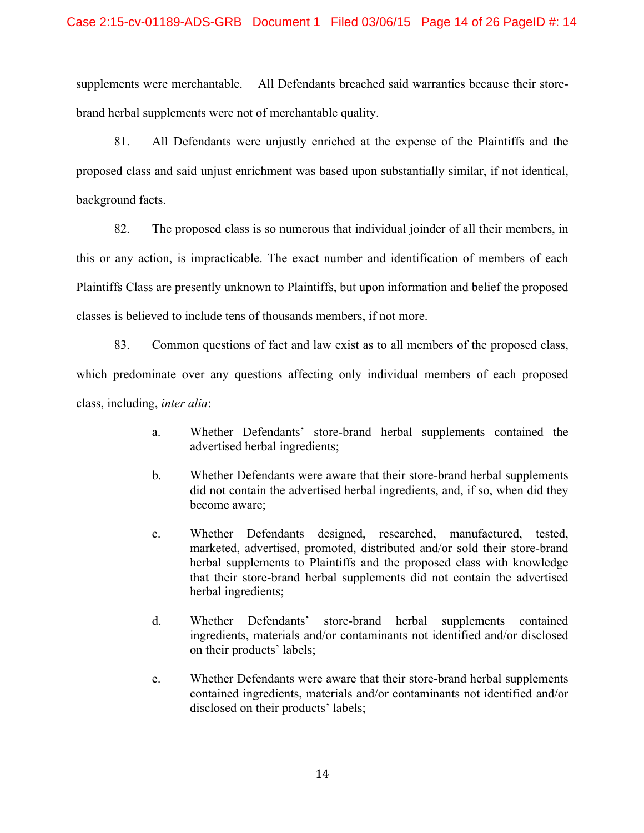supplements were merchantable. All Defendants breached said warranties because their storebrand herbal supplements were not of merchantable quality.

81. All Defendants were unjustly enriched at the expense of the Plaintiffs and the proposed class and said unjust enrichment was based upon substantially similar, if not identical, background facts.

82. The proposed class is so numerous that individual joinder of all their members, in this or any action, is impracticable. The exact number and identification of members of each Plaintiffs Class are presently unknown to Plaintiffs, but upon information and belief the proposed classes is believed to include tens of thousands members, if not more.

83. Common questions of fact and law exist as to all members of the proposed class, which predominate over any questions affecting only individual members of each proposed class, including, *inter alia*:

- a. Whether Defendants' store-brand herbal supplements contained the advertised herbal ingredients;
- b. Whether Defendants were aware that their store-brand herbal supplements did not contain the advertised herbal ingredients, and, if so, when did they become aware;
- c. Whether Defendants designed, researched, manufactured, tested, marketed, advertised, promoted, distributed and/or sold their store-brand herbal supplements to Plaintiffs and the proposed class with knowledge that their store-brand herbal supplements did not contain the advertised herbal ingredients;
- d. Whether Defendants' store-brand herbal supplements contained ingredients, materials and/or contaminants not identified and/or disclosed on their products' labels;
- e. Whether Defendants were aware that their store-brand herbal supplements contained ingredients, materials and/or contaminants not identified and/or disclosed on their products' labels;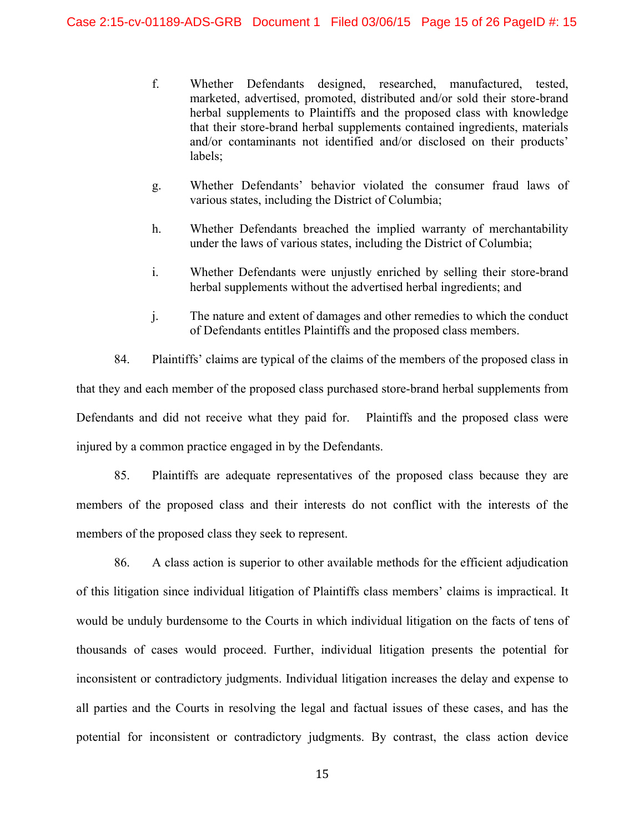- f. Whether Defendants designed, researched, manufactured, tested, marketed, advertised, promoted, distributed and/or sold their store-brand herbal supplements to Plaintiffs and the proposed class with knowledge that their store-brand herbal supplements contained ingredients, materials and/or contaminants not identified and/or disclosed on their products' labels;
- g. Whether Defendants' behavior violated the consumer fraud laws of various states, including the District of Columbia;
- h. Whether Defendants breached the implied warranty of merchantability under the laws of various states, including the District of Columbia;
- i. Whether Defendants were unjustly enriched by selling their store-brand herbal supplements without the advertised herbal ingredients; and
- j. The nature and extent of damages and other remedies to which the conduct of Defendants entitles Plaintiffs and the proposed class members.

84. Plaintiffs' claims are typical of the claims of the members of the proposed class in that they and each member of the proposed class purchased store-brand herbal supplements from Defendants and did not receive what they paid for. Plaintiffs and the proposed class were injured by a common practice engaged in by the Defendants.

85. Plaintiffs are adequate representatives of the proposed class because they are members of the proposed class and their interests do not conflict with the interests of the members of the proposed class they seek to represent.

86. A class action is superior to other available methods for the efficient adjudication of this litigation since individual litigation of Plaintiffs class members' claims is impractical. It would be unduly burdensome to the Courts in which individual litigation on the facts of tens of thousands of cases would proceed. Further, individual litigation presents the potential for inconsistent or contradictory judgments. Individual litigation increases the delay and expense to all parties and the Courts in resolving the legal and factual issues of these cases, and has the potential for inconsistent or contradictory judgments. By contrast, the class action device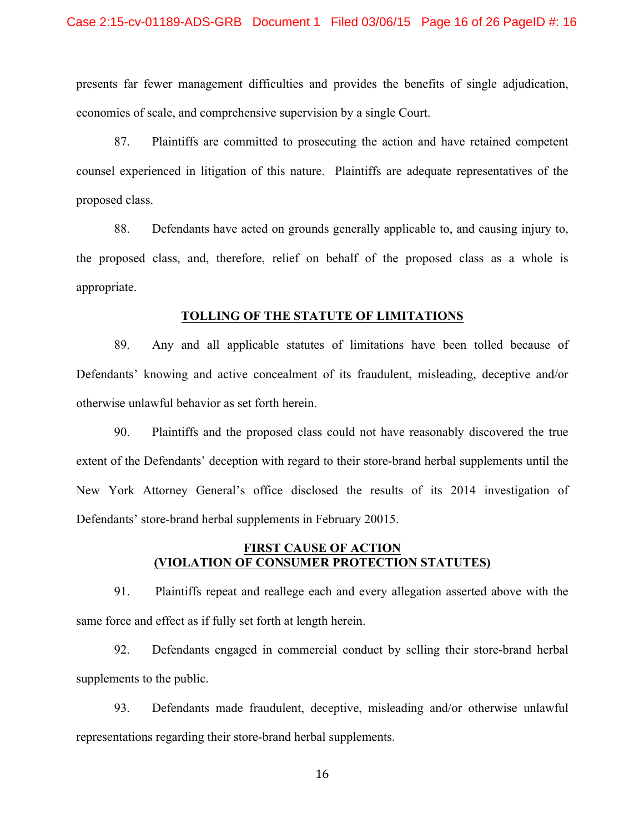presents far fewer management difficulties and provides the benefits of single adjudication, economies of scale, and comprehensive supervision by a single Court.

87. Plaintiffs are committed to prosecuting the action and have retained competent counsel experienced in litigation of this nature. Plaintiffs are adequate representatives of the proposed class.

88. Defendants have acted on grounds generally applicable to, and causing injury to, the proposed class, and, therefore, relief on behalf of the proposed class as a whole is appropriate.

#### **TOLLING OF THE STATUTE OF LIMITATIONS**

89. Any and all applicable statutes of limitations have been tolled because of Defendants' knowing and active concealment of its fraudulent, misleading, deceptive and/or otherwise unlawful behavior as set forth herein.

90. Plaintiffs and the proposed class could not have reasonably discovered the true extent of the Defendants' deception with regard to their store-brand herbal supplements until the New York Attorney General's office disclosed the results of its 2014 investigation of Defendants' store-brand herbal supplements in February 20015.

## **FIRST CAUSE OF ACTION (VIOLATION OF CONSUMER PROTECTION STATUTES)**

91. Plaintiffs repeat and reallege each and every allegation asserted above with the same force and effect as if fully set forth at length herein.

92. Defendants engaged in commercial conduct by selling their store-brand herbal supplements to the public.

93. Defendants made fraudulent, deceptive, misleading and/or otherwise unlawful representations regarding their store-brand herbal supplements.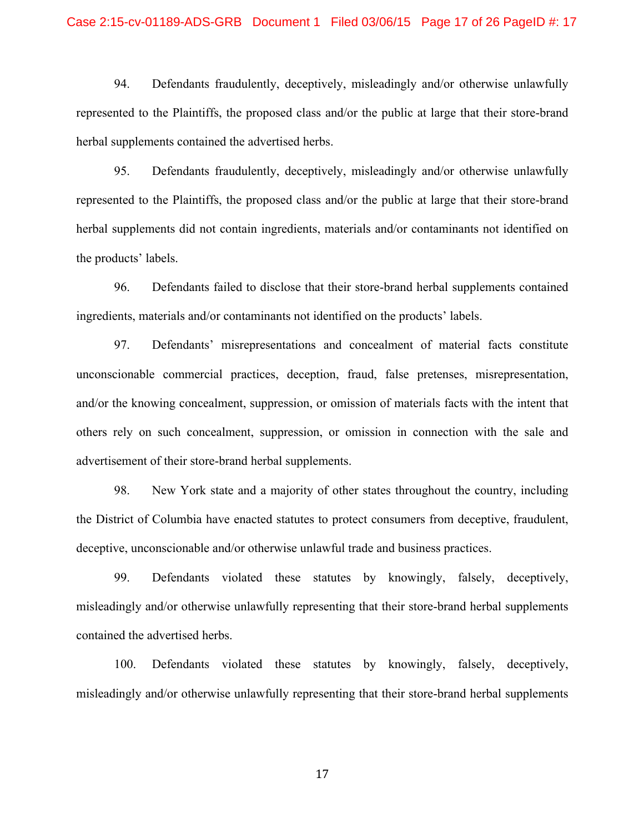#### Case 2:15-cv-01189-ADS-GRB Document 1 Filed 03/06/15 Page 17 of 26 PageID #: 17

94. Defendants fraudulently, deceptively, misleadingly and/or otherwise unlawfully represented to the Plaintiffs, the proposed class and/or the public at large that their store-brand herbal supplements contained the advertised herbs.

95. Defendants fraudulently, deceptively, misleadingly and/or otherwise unlawfully represented to the Plaintiffs, the proposed class and/or the public at large that their store-brand herbal supplements did not contain ingredients, materials and/or contaminants not identified on the products' labels.

96. Defendants failed to disclose that their store-brand herbal supplements contained ingredients, materials and/or contaminants not identified on the products' labels.

97. Defendants' misrepresentations and concealment of material facts constitute unconscionable commercial practices, deception, fraud, false pretenses, misrepresentation, and/or the knowing concealment, suppression, or omission of materials facts with the intent that others rely on such concealment, suppression, or omission in connection with the sale and advertisement of their store-brand herbal supplements.

98. New York state and a majority of other states throughout the country, including the District of Columbia have enacted statutes to protect consumers from deceptive, fraudulent, deceptive, unconscionable and/or otherwise unlawful trade and business practices.

99. Defendants violated these statutes by knowingly, falsely, deceptively, misleadingly and/or otherwise unlawfully representing that their store-brand herbal supplements contained the advertised herbs.

100. Defendants violated these statutes by knowingly, falsely, deceptively, misleadingly and/or otherwise unlawfully representing that their store-brand herbal supplements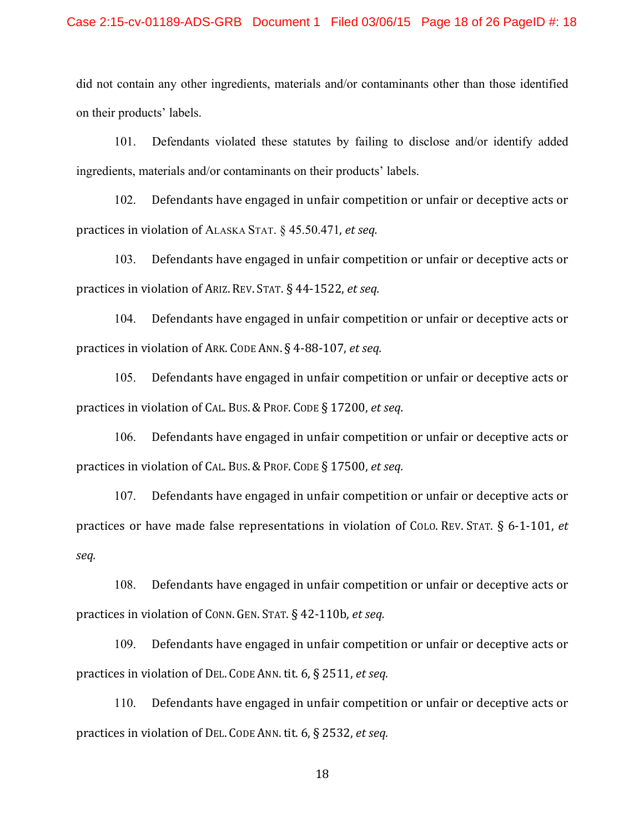## Case 2:15-cv-01189-ADS-GRB Document 1 Filed 03/06/15 Page 18 of 26 PageID #: 18

did not contain any other ingredients, materials and/or contaminants other than those identified on their products' labels.

101. Defendants violated these statutes by failing to disclose and/or identify added ingredients, materials and/or contaminants on their products' labels.

102. Defendants have engaged in unfair competition or unfair or deceptive acts or practices in violation of ALASKA STAT. § 45.50.471, *et seq.* 

103. Defendants have engaged in unfair competition or unfair or deceptive acts or practices in violation of ARIZ. REV. STAT. § 44-1522, *et seq.* 

104. Defendants have engaged in unfair competition or unfair or deceptive acts or practices in violation of ARK. CODE ANN. § 4-88-107, *et seq.* 

105. Defendants have engaged in unfair competition or unfair or deceptive acts or practices in violation of CAL. Bus. & PROF. CODE § 17200, et seq.

106. Defendants have engaged in unfair competition or unfair or deceptive acts or practices in violation of CAL. Bus. & PROF. CODE § 17500, *et seq.* 

107. Defendants have engaged in unfair competition or unfair or deceptive acts or practices or have made false representations in violation of COLO. REV. STAT. § 6-1-101, *et seq.*

108. Defendants have engaged in unfair competition or unfair or deceptive acts or practices in violation of CONN. GEN. STAT. § 42-110b, et seq.

109. Defendants have engaged in unfair competition or unfair or deceptive acts or practices in violation of DEL. CODE ANN. tit. 6, § 2511, *et seq.* 

110. Defendants have engaged in unfair competition or unfair or deceptive acts or practices in violation of DEL. CODE ANN. tit. 6, § 2532, *et seq.*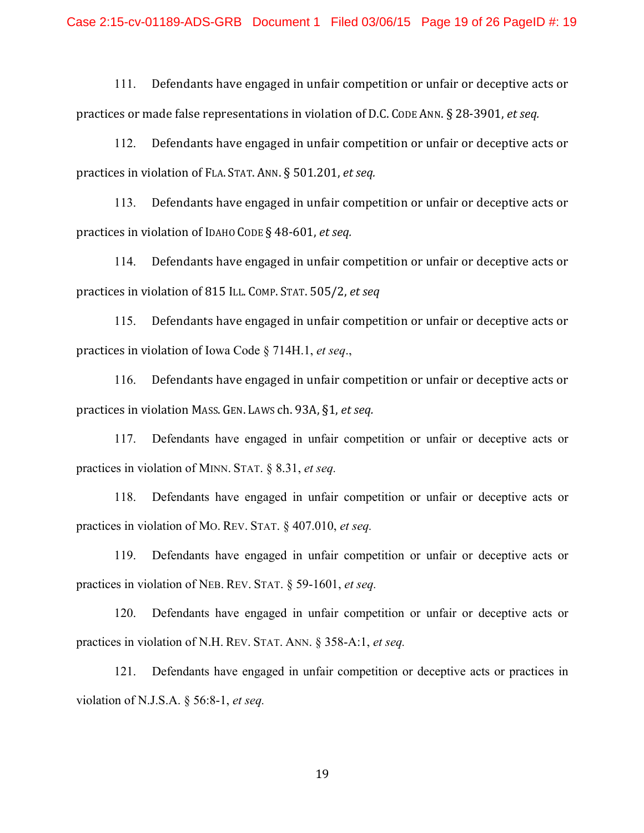111. Defendants have engaged in unfair competition or unfair or deceptive acts or practices or made false representations in violation of D.C. CODE ANN. § 28-3901, *et seq.* 

112. Defendants have engaged in unfair competition or unfair or deceptive acts or practices in violation of FLA. STAT. ANN. § 501.201, et seq.

113. Defendants have engaged in unfair competition or unfair or deceptive acts or practices in violation of IDAHO CODE § 48-601, *et seq.* 

114. Defendants have engaged in unfair competition or unfair or deceptive acts or practices in violation of 815 ILL. COMP. STAT. 505/2, *et seq* 

115. Defendants have engaged in unfair competition or unfair or deceptive acts or practices in violation of Iowa Code § 714H.1, *et seq.*,

116. Defendants have engaged in unfair competition or unfair or deceptive acts or practices in violation Mass. GEN. LAWS ch. 93A, §1, *et seq.* 

117. Defendants have engaged in unfair competition or unfair or deceptive acts or practices in violation of MINN. STAT. § 8.31, *et seq.*

118. Defendants have engaged in unfair competition or unfair or deceptive acts or practices in violation of MO. REV. STAT. § 407.010, *et seq.*

119. Defendants have engaged in unfair competition or unfair or deceptive acts or practices in violation of NEB. REV. STAT. § 59-1601, *et seq.*

120. Defendants have engaged in unfair competition or unfair or deceptive acts or practices in violation of N.H. REV. STAT. ANN. § 358-A:1, *et seq.*

121. Defendants have engaged in unfair competition or deceptive acts or practices in violation of N.J.S.A. § 56:8-1, *et seq.*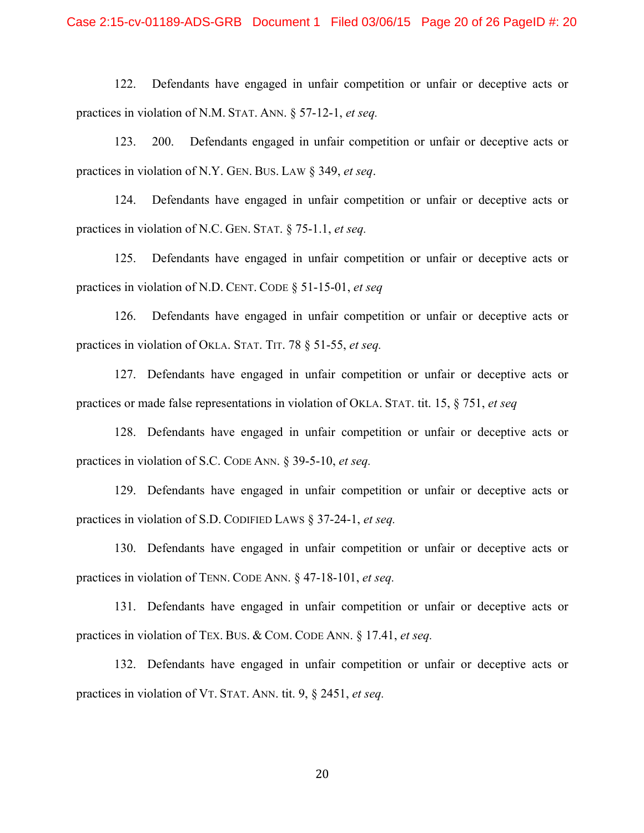122. Defendants have engaged in unfair competition or unfair or deceptive acts or practices in violation of N.M. STAT. ANN. § 57-12-1, *et seq.*

123. 200. Defendants engaged in unfair competition or unfair or deceptive acts or practices in violation of N.Y. GEN. BUS. LAW § 349, *et seq*.

124. Defendants have engaged in unfair competition or unfair or deceptive acts or practices in violation of N.C. GEN. STAT. § 75-1.1, *et seq.*

125. Defendants have engaged in unfair competition or unfair or deceptive acts or practices in violation of N.D. CENT. CODE § 51-15-01, *et seq*

126. Defendants have engaged in unfair competition or unfair or deceptive acts or practices in violation of OKLA. STAT. TIT. 78 § 51-55, *et seq.*

127. Defendants have engaged in unfair competition or unfair or deceptive acts or practices or made false representations in violation of OKLA. STAT. tit. 15, § 751, *et seq*

128. Defendants have engaged in unfair competition or unfair or deceptive acts or practices in violation of S.C. CODE ANN. § 39-5-10, *et seq.*

129. Defendants have engaged in unfair competition or unfair or deceptive acts or practices in violation of S.D. CODIFIED LAWS § 37-24-1, *et seq.*

130. Defendants have engaged in unfair competition or unfair or deceptive acts or practices in violation of TENN. CODE ANN. § 47-18-101, *et seq.*

131. Defendants have engaged in unfair competition or unfair or deceptive acts or practices in violation of TEX. BUS. & COM. CODE ANN. § 17.41, *et seq.*

132. Defendants have engaged in unfair competition or unfair or deceptive acts or practices in violation of VT. STAT. ANN. tit. 9, § 2451, *et seq.*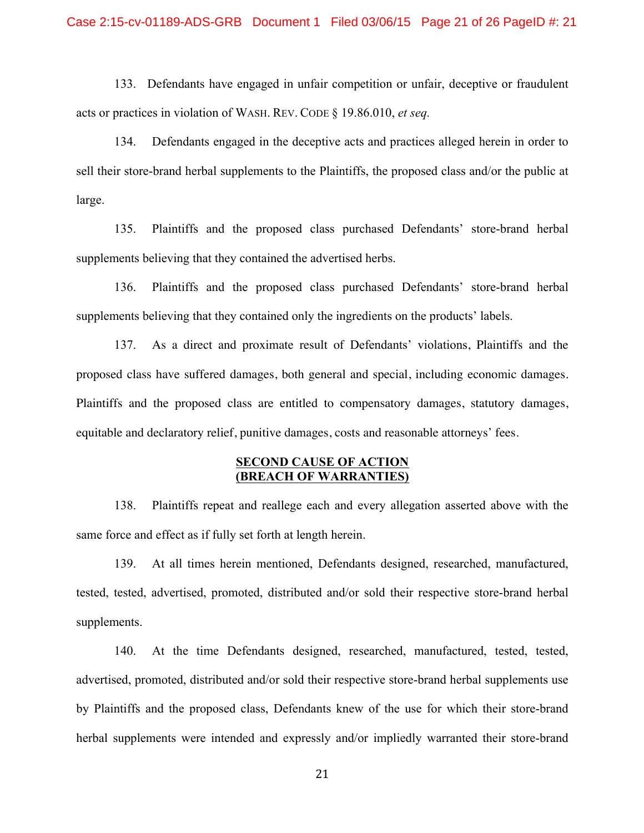133. Defendants have engaged in unfair competition or unfair, deceptive or fraudulent acts or practices in violation of WASH. REV. CODE § 19.86.010, *et seq.*

134. Defendants engaged in the deceptive acts and practices alleged herein in order to sell their store-brand herbal supplements to the Plaintiffs, the proposed class and/or the public at large.

135. Plaintiffs and the proposed class purchased Defendants' store-brand herbal supplements believing that they contained the advertised herbs.

136. Plaintiffs and the proposed class purchased Defendants' store-brand herbal supplements believing that they contained only the ingredients on the products' labels.

137. As a direct and proximate result of Defendants' violations, Plaintiffs and the proposed class have suffered damages, both general and special, including economic damages. Plaintiffs and the proposed class are entitled to compensatory damages, statutory damages, equitable and declaratory relief, punitive damages, costs and reasonable attorneys' fees.

## **SECOND CAUSE OF ACTION (BREACH OF WARRANTIES)**

138. Plaintiffs repeat and reallege each and every allegation asserted above with the same force and effect as if fully set forth at length herein.

139. At all times herein mentioned, Defendants designed, researched, manufactured, tested, tested, advertised, promoted, distributed and/or sold their respective store-brand herbal supplements.

140. At the time Defendants designed, researched, manufactured, tested, tested, advertised, promoted, distributed and/or sold their respective store-brand herbal supplements use by Plaintiffs and the proposed class, Defendants knew of the use for which their store-brand herbal supplements were intended and expressly and/or impliedly warranted their store-brand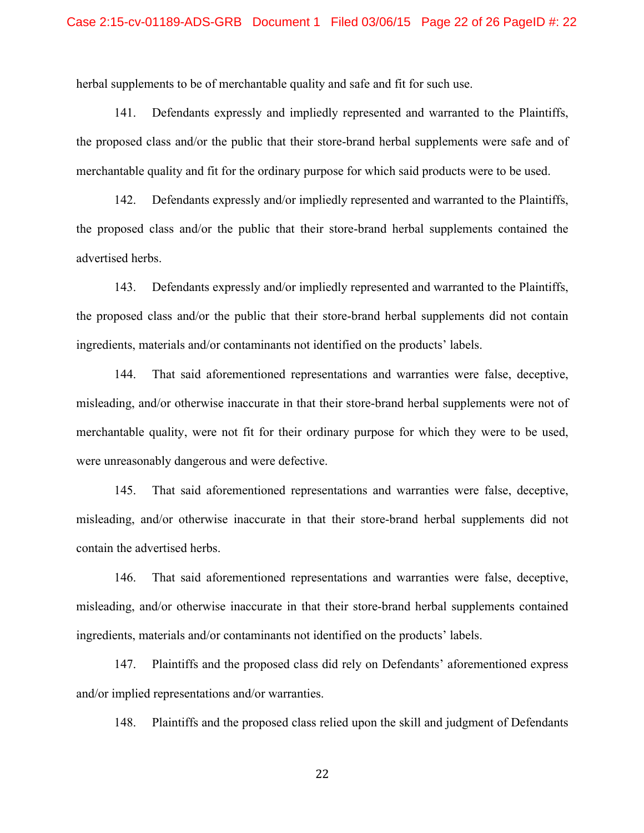herbal supplements to be of merchantable quality and safe and fit for such use.

141. Defendants expressly and impliedly represented and warranted to the Plaintiffs, the proposed class and/or the public that their store-brand herbal supplements were safe and of merchantable quality and fit for the ordinary purpose for which said products were to be used.

142. Defendants expressly and/or impliedly represented and warranted to the Plaintiffs, the proposed class and/or the public that their store-brand herbal supplements contained the advertised herbs.

143. Defendants expressly and/or impliedly represented and warranted to the Plaintiffs, the proposed class and/or the public that their store-brand herbal supplements did not contain ingredients, materials and/or contaminants not identified on the products' labels.

144. That said aforementioned representations and warranties were false, deceptive, misleading, and/or otherwise inaccurate in that their store-brand herbal supplements were not of merchantable quality, were not fit for their ordinary purpose for which they were to be used, were unreasonably dangerous and were defective.

145. That said aforementioned representations and warranties were false, deceptive, misleading, and/or otherwise inaccurate in that their store-brand herbal supplements did not contain the advertised herbs.

146. That said aforementioned representations and warranties were false, deceptive, misleading, and/or otherwise inaccurate in that their store-brand herbal supplements contained ingredients, materials and/or contaminants not identified on the products' labels.

147. Plaintiffs and the proposed class did rely on Defendants' aforementioned express and/or implied representations and/or warranties.

148. Plaintiffs and the proposed class relied upon the skill and judgment of Defendants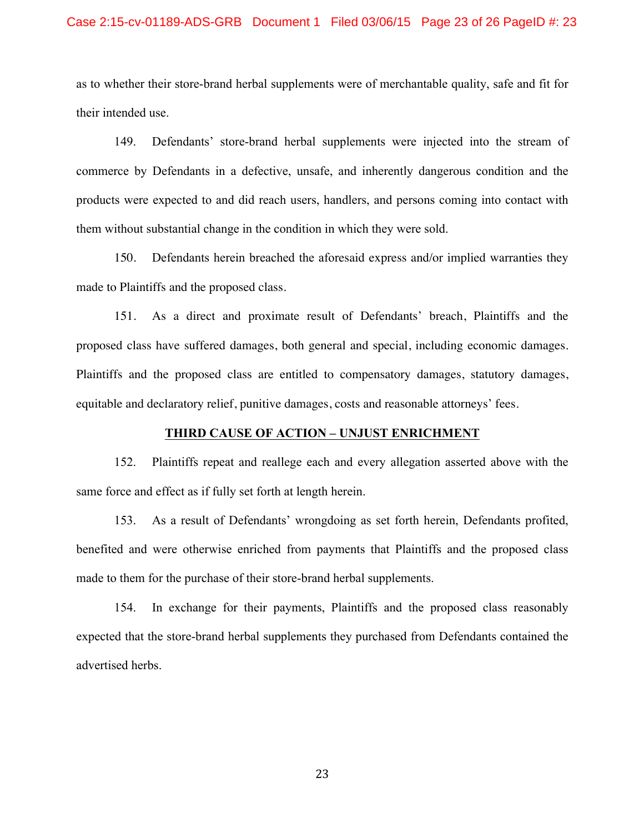## Case 2:15-cv-01189-ADS-GRB Document 1 Filed 03/06/15 Page 23 of 26 PageID #: 23

as to whether their store-brand herbal supplements were of merchantable quality, safe and fit for their intended use.

149. Defendants' store-brand herbal supplements were injected into the stream of commerce by Defendants in a defective, unsafe, and inherently dangerous condition and the products were expected to and did reach users, handlers, and persons coming into contact with them without substantial change in the condition in which they were sold.

150. Defendants herein breached the aforesaid express and/or implied warranties they made to Plaintiffs and the proposed class.

151. As a direct and proximate result of Defendants' breach, Plaintiffs and the proposed class have suffered damages, both general and special, including economic damages. Plaintiffs and the proposed class are entitled to compensatory damages, statutory damages, equitable and declaratory relief, punitive damages, costs and reasonable attorneys' fees.

## **THIRD CAUSE OF ACTION – UNJUST ENRICHMENT**

152. Plaintiffs repeat and reallege each and every allegation asserted above with the same force and effect as if fully set forth at length herein.

153. As a result of Defendants' wrongdoing as set forth herein, Defendants profited, benefited and were otherwise enriched from payments that Plaintiffs and the proposed class made to them for the purchase of their store-brand herbal supplements.

154. In exchange for their payments, Plaintiffs and the proposed class reasonably expected that the store-brand herbal supplements they purchased from Defendants contained the advertised herbs.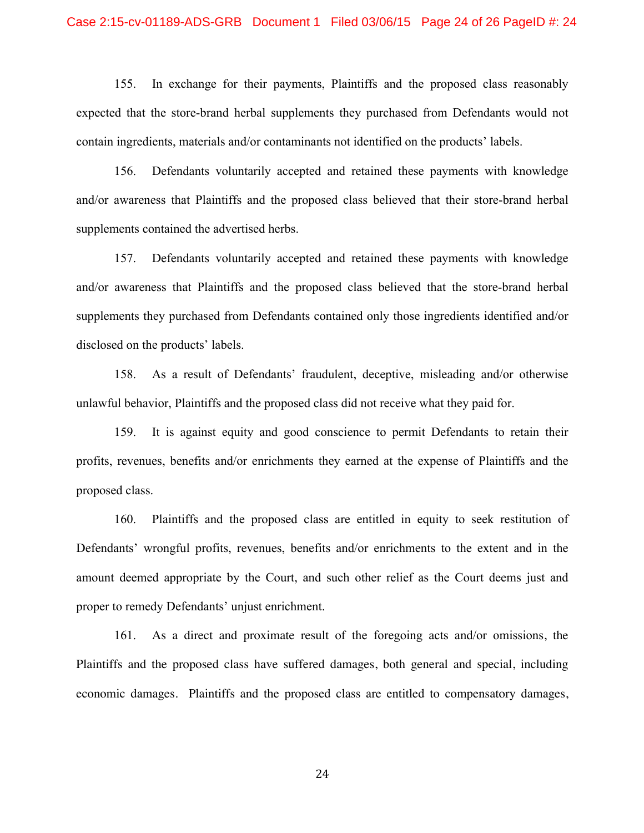## Case 2:15-cv-01189-ADS-GRB Document 1 Filed 03/06/15 Page 24 of 26 PageID #: 24

155. In exchange for their payments, Plaintiffs and the proposed class reasonably expected that the store-brand herbal supplements they purchased from Defendants would not contain ingredients, materials and/or contaminants not identified on the products' labels.

156. Defendants voluntarily accepted and retained these payments with knowledge and/or awareness that Plaintiffs and the proposed class believed that their store-brand herbal supplements contained the advertised herbs.

157. Defendants voluntarily accepted and retained these payments with knowledge and/or awareness that Plaintiffs and the proposed class believed that the store-brand herbal supplements they purchased from Defendants contained only those ingredients identified and/or disclosed on the products' labels.

158. As a result of Defendants' fraudulent, deceptive, misleading and/or otherwise unlawful behavior, Plaintiffs and the proposed class did not receive what they paid for.

159. It is against equity and good conscience to permit Defendants to retain their profits, revenues, benefits and/or enrichments they earned at the expense of Plaintiffs and the proposed class.

160. Plaintiffs and the proposed class are entitled in equity to seek restitution of Defendants' wrongful profits, revenues, benefits and/or enrichments to the extent and in the amount deemed appropriate by the Court, and such other relief as the Court deems just and proper to remedy Defendants' unjust enrichment.

161. As a direct and proximate result of the foregoing acts and/or omissions, the Plaintiffs and the proposed class have suffered damages, both general and special, including economic damages. Plaintiffs and the proposed class are entitled to compensatory damages,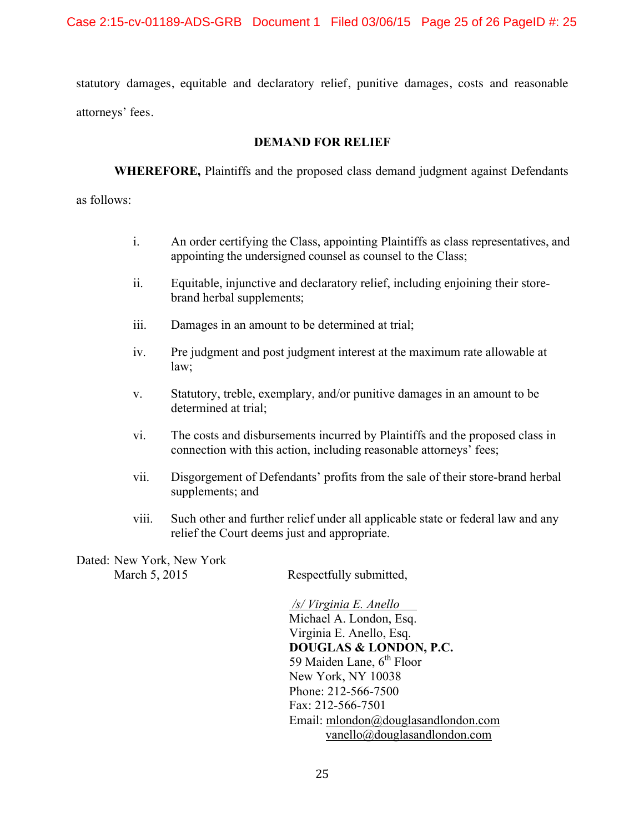statutory damages, equitable and declaratory relief, punitive damages, costs and reasonable attorneys' fees.

## **DEMAND FOR RELIEF**

**WHEREFORE,** Plaintiffs and the proposed class demand judgment against Defendants as follows:

- i. An order certifying the Class, appointing Plaintiffs as class representatives, and appointing the undersigned counsel as counsel to the Class;
- ii. Equitable, injunctive and declaratory relief, including enjoining their storebrand herbal supplements;
- iii. Damages in an amount to be determined at trial;
- iv. Pre judgment and post judgment interest at the maximum rate allowable at law;
- v. Statutory, treble, exemplary, and/or punitive damages in an amount to be determined at trial;
- vi. The costs and disbursements incurred by Plaintiffs and the proposed class in connection with this action, including reasonable attorneys' fees;
- vii. Disgorgement of Defendants' profits from the sale of their store-brand herbal supplements; and
- viii. Such other and further relief under all applicable state or federal law and any relief the Court deems just and appropriate.

Dated: New York, New York

March 5, 2015 Respectfully submitted,

*/s/ Virginia E. Anello*  Michael A. London, Esq. Virginia E. Anello, Esq. **DOUGLAS & LONDON, P.C.** 59 Maiden Lane,  $6<sup>th</sup>$  Floor New York, NY 10038 Phone: 212-566-7500 Fax: 212-566-7501 Email: mlondon@douglasandlondon.com vanello@douglasandlondon.com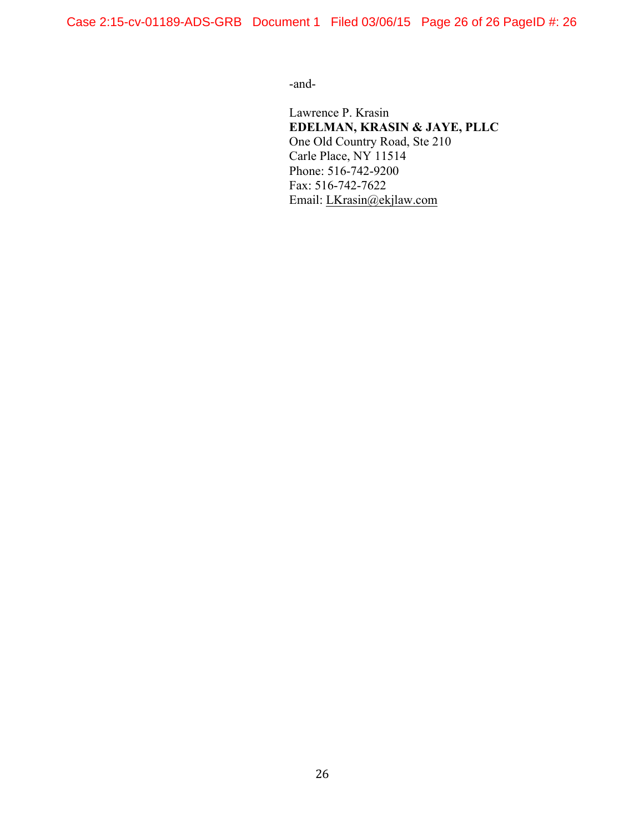Case 2:15-cv-01189-ADS-GRB Document 1 Filed 03/06/15 Page 26 of 26 PageID #: 26

-and-

Lawrence P. Krasin **EDELMAN, KRASIN & JAYE, PLLC** One Old Country Road, Ste 210 Carle Place, NY 11514 Phone: 516-742-9200 Fax: 516-742-7622 Email: LKrasin@ekjlaw.com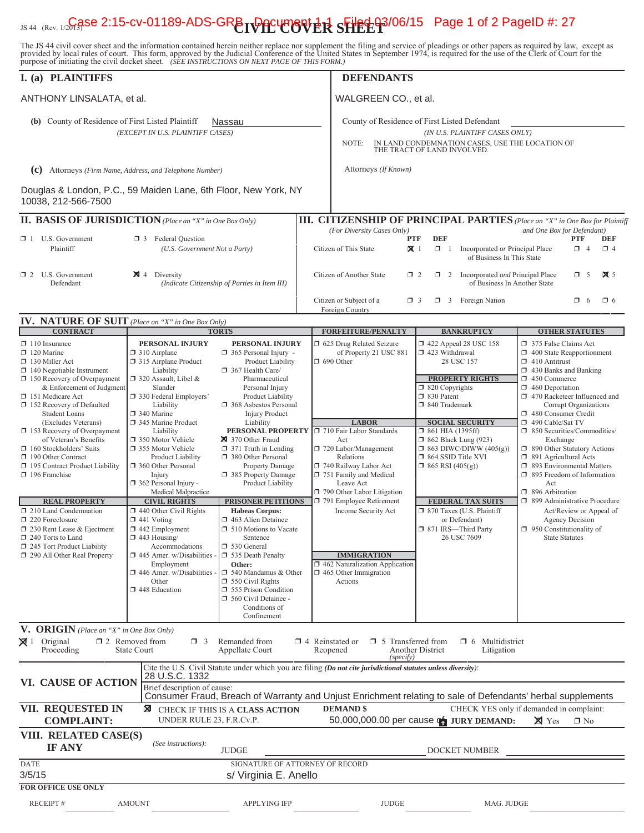# <sub>JS 44 (Rev. 1/2G3Se 2:15-cv-01189-ADS-GRB **DOCUM8N ER SHEL 03/06/15** Page 1 of 2 PageID #: 27</sub>

The JS 44 civil cover sheet and the information contained herein neither replace nor supplement the filing and service of pleadings or other papers as required by law, except as provided by local rules of court. This form,

| I. (a) PLAINTIFFS                                                                                                                                                                                                                                                                                                                                                                                                                                                                                                                                                                                                                                     |                                                                                                                                                                                                                                                                                                                                                                                                                                  |                                                                                                                                                                                                                                                                                                                                                                                                                                             | <b>DEFENDANTS</b>                                                                                                                                                                        |                              |                                                                                                                                                                                 |                                                                                                                                                                                                          |                                                                                                                  |                                                                                                                                                                                                                                                                                                                                                                                                                                                                                                                                                  |                        |                        |  |  |
|-------------------------------------------------------------------------------------------------------------------------------------------------------------------------------------------------------------------------------------------------------------------------------------------------------------------------------------------------------------------------------------------------------------------------------------------------------------------------------------------------------------------------------------------------------------------------------------------------------------------------------------------------------|----------------------------------------------------------------------------------------------------------------------------------------------------------------------------------------------------------------------------------------------------------------------------------------------------------------------------------------------------------------------------------------------------------------------------------|---------------------------------------------------------------------------------------------------------------------------------------------------------------------------------------------------------------------------------------------------------------------------------------------------------------------------------------------------------------------------------------------------------------------------------------------|------------------------------------------------------------------------------------------------------------------------------------------------------------------------------------------|------------------------------|---------------------------------------------------------------------------------------------------------------------------------------------------------------------------------|----------------------------------------------------------------------------------------------------------------------------------------------------------------------------------------------------------|------------------------------------------------------------------------------------------------------------------|--------------------------------------------------------------------------------------------------------------------------------------------------------------------------------------------------------------------------------------------------------------------------------------------------------------------------------------------------------------------------------------------------------------------------------------------------------------------------------------------------------------------------------------------------|------------------------|------------------------|--|--|
| ANTHONY LINSALATA, et al.                                                                                                                                                                                                                                                                                                                                                                                                                                                                                                                                                                                                                             |                                                                                                                                                                                                                                                                                                                                                                                                                                  |                                                                                                                                                                                                                                                                                                                                                                                                                                             | WALGREEN CO., et al.                                                                                                                                                                     |                              |                                                                                                                                                                                 |                                                                                                                                                                                                          |                                                                                                                  |                                                                                                                                                                                                                                                                                                                                                                                                                                                                                                                                                  |                        |                        |  |  |
| (b) County of Residence of First Listed Plaintiff                                                                                                                                                                                                                                                                                                                                                                                                                                                                                                                                                                                                     | (EXCEPT IN U.S. PLAINTIFF CASES)                                                                                                                                                                                                                                                                                                                                                                                                 | Nassau                                                                                                                                                                                                                                                                                                                                                                                                                                      | County of Residence of First Listed Defendant<br>NOTE:                                                                                                                                   |                              |                                                                                                                                                                                 |                                                                                                                                                                                                          | (IN U.S. PLAINTIFF CASES ONLY)<br>IN LAND CONDEMNATION CASES, USE THE LOCATION OF<br>THE TRACT OF LAND INVOLVED. |                                                                                                                                                                                                                                                                                                                                                                                                                                                                                                                                                  |                        |                        |  |  |
| (C) Attorneys (Firm Name, Address, and Telephone Number)                                                                                                                                                                                                                                                                                                                                                                                                                                                                                                                                                                                              |                                                                                                                                                                                                                                                                                                                                                                                                                                  |                                                                                                                                                                                                                                                                                                                                                                                                                                             | Attorneys (If Known)                                                                                                                                                                     |                              |                                                                                                                                                                                 |                                                                                                                                                                                                          |                                                                                                                  |                                                                                                                                                                                                                                                                                                                                                                                                                                                                                                                                                  |                        |                        |  |  |
| Douglas & London, P.C., 59 Maiden Lane, 6th Floor, New York, NY<br>10038, 212-566-7500                                                                                                                                                                                                                                                                                                                                                                                                                                                                                                                                                                |                                                                                                                                                                                                                                                                                                                                                                                                                                  |                                                                                                                                                                                                                                                                                                                                                                                                                                             |                                                                                                                                                                                          |                              |                                                                                                                                                                                 |                                                                                                                                                                                                          |                                                                                                                  |                                                                                                                                                                                                                                                                                                                                                                                                                                                                                                                                                  |                        |                        |  |  |
| <b>II. BASIS OF JURISDICTION</b> (Place an "X" in One Box Only)                                                                                                                                                                                                                                                                                                                                                                                                                                                                                                                                                                                       |                                                                                                                                                                                                                                                                                                                                                                                                                                  |                                                                                                                                                                                                                                                                                                                                                                                                                                             | <b>III. CITIZENSHIP OF PRINCIPAL PARTIES</b> (Place an "X" in One Box for Plaintiff                                                                                                      |                              |                                                                                                                                                                                 |                                                                                                                                                                                                          |                                                                                                                  |                                                                                                                                                                                                                                                                                                                                                                                                                                                                                                                                                  |                        |                        |  |  |
| $\Box$ 1 U.S. Government<br>Plaintiff                                                                                                                                                                                                                                                                                                                                                                                                                                                                                                                                                                                                                 | <b>3</b> Federal Question<br>(U.S. Government Not a Party)                                                                                                                                                                                                                                                                                                                                                                       |                                                                                                                                                                                                                                                                                                                                                                                                                                             | (For Diversity Cases Only)<br>Citizen of This State                                                                                                                                      | <b>PTF</b><br>X <sub>1</sub> | <b>DEF</b>                                                                                                                                                                      |                                                                                                                                                                                                          | $\Box$ 1 Incorporated or Principal Place<br>of Business In This State                                            | and One Box for Defendant)                                                                                                                                                                                                                                                                                                                                                                                                                                                                                                                       | <b>PTF</b><br>$\Box$ 4 | <b>DEF</b><br>$\Box$ 4 |  |  |
| $\Box$ 2 U.S. Government<br>Defendant                                                                                                                                                                                                                                                                                                                                                                                                                                                                                                                                                                                                                 | $\boxtimes$ 4 Diversity                                                                                                                                                                                                                                                                                                                                                                                                          | (Indicate Citizenship of Parties in Item III)                                                                                                                                                                                                                                                                                                                                                                                               | Citizen of Another State                                                                                                                                                                 | $\Box$ 2                     |                                                                                                                                                                                 |                                                                                                                                                                                                          | 1 2 Incorporated and Principal Place<br>of Business In Another State                                             |                                                                                                                                                                                                                                                                                                                                                                                                                                                                                                                                                  | $\Box$ 5               | $\times$ 5             |  |  |
| <b>IV. NATURE OF SUIT</b> (Place an "X" in One Box Only)                                                                                                                                                                                                                                                                                                                                                                                                                                                                                                                                                                                              |                                                                                                                                                                                                                                                                                                                                                                                                                                  |                                                                                                                                                                                                                                                                                                                                                                                                                                             | Citizen or Subject of a<br>Foreign Country                                                                                                                                               | $\Box$ 3                     |                                                                                                                                                                                 |                                                                                                                                                                                                          | $\Box$ 3 Foreign Nation                                                                                          |                                                                                                                                                                                                                                                                                                                                                                                                                                                                                                                                                  | $\Box$ 6               | $\Box$ 6               |  |  |
| <b>CONTRACT</b>                                                                                                                                                                                                                                                                                                                                                                                                                                                                                                                                                                                                                                       |                                                                                                                                                                                                                                                                                                                                                                                                                                  | <b>TORTS</b>                                                                                                                                                                                                                                                                                                                                                                                                                                | <b>FORFEITURE/PENALTY</b>                                                                                                                                                                |                              |                                                                                                                                                                                 |                                                                                                                                                                                                          | <b>BANKRUPTCY</b>                                                                                                | <b>OTHER STATUTES</b>                                                                                                                                                                                                                                                                                                                                                                                                                                                                                                                            |                        |                        |  |  |
| $\Box$ 110 Insurance<br>$\Box$ 120 Marine<br>130 Miller Act<br>$\Box$ 140 Negotiable Instrument<br>150 Recovery of Overpayment<br>& Enforcement of Judgment<br>151 Medicare Act<br>152 Recovery of Defaulted<br><b>Student Loans</b><br>(Excludes Veterans)<br>$\Box$ 153 Recovery of Overpayment<br>of Veteran's Benefits<br>$\Box$ 160 Stockholders' Suits<br>190 Other Contract<br>195 Contract Product Liability<br>$\Box$ 196 Franchise<br><b>REAL PROPERTY</b><br>210 Land Condemnation<br>220 Foreclosure<br>$\Box$ 230 Rent Lease & Ejectment<br>$\Box$ 240 Torts to Land<br>$\Box$ 245 Tort Product Liability<br>290 All Other Real Property | PERSONAL INJURY<br>$\Box$ 310 Airplane<br>$\Box$<br>315 Airplane Product<br>Liability<br>$\Box$ 320 Assault, Libel &<br>Slander<br>□ 330 Federal Employers'<br>Liability<br>340 Marine<br>345 Marine Product<br>Liability<br>350 Motor Vehicle<br>355 Motor Vehicle<br>Product Liability<br>360 Other Personal<br>Injury<br>362 Personal Injury -<br>Medical Malpractice<br><b>CIVIL RIGHTS</b><br>$\Box$ 440 Other Civil Rights | PERSONAL INJURY<br>$\Box$ 365 Personal Injury -<br>Product Liability<br>367 Health Care/<br>Pharmaceutical<br>Personal Injury<br>Product Liability<br><b>1368</b> Asbestos Personal<br><b>Injury Product</b><br>Liability<br>PERSONAL PROPERTY<br>370 Other Fraud<br>$\Box$ 371 Truth in Lending<br>380 Other Personal<br>Property Damage<br>385 Property Damage<br>Product Liability<br><b>PRISONER PETITIONS</b><br><b>Habeas Corpus:</b> | □ 625 Drug Related Seizure<br>of Property 21 USC 881<br>$\Box$ 690 Other<br><b>LABOR</b><br>710 Fair Labor Standards                                                                     |                              |                                                                                                                                                                                 | 1422 Appeal 28 USC 158<br>$\Box$ 423 Withdrawal<br>28 USC 157<br><b>PROPERTY RIGHTS</b><br>$\Box$ 820 Copyrights<br>□ 830 Patent<br>□ 840 Trademark<br><b>SOCIAL SECURITY</b><br>$\Box$ 861 HIA (1395ff) |                                                                                                                  | 375 False Claims Act<br>$\Box$ 400 State Reapportionment<br>$\Box$ 410 Antitrust<br>$\Box$ 430 Banks and Banking<br>450 Commerce<br>$\Box$ 460 Deportation<br>1 470 Racketeer Influenced and<br>Corrupt Organizations<br>480 Consumer Credit<br>490 Cable/Sat TV<br>□ 850 Securities/Commodities/<br>Exchange<br>1 890 Other Statutory Actions<br>$\Box$ 891 Agricultural Acts<br>□ 893 Environmental Matters<br>$\Box$ 895 Freedom of Information<br>Act<br>$\Box$ 896 Arbitration<br>□ 899 Administrative Procedure<br>Act/Review or Appeal of |                        |                        |  |  |
|                                                                                                                                                                                                                                                                                                                                                                                                                                                                                                                                                                                                                                                       |                                                                                                                                                                                                                                                                                                                                                                                                                                  |                                                                                                                                                                                                                                                                                                                                                                                                                                             | Act<br>720 Labor/Management<br>Relations<br>740 Railway Labor Act<br>751 Family and Medical<br>Leave Act<br>790 Other Labor Litigation<br>791 Employee Retirement<br>Income Security Act |                              | $\Box$ 862 Black Lung (923)<br>$\Box$ 863 DIWC/DIWW (405(g))<br>$\Box$ 864 SSID Title XVI<br>$\Box$ 865 RSI (405(g))<br><b>FEDERAL TAX SUITS</b><br>□ 870 Taxes (U.S. Plaintiff |                                                                                                                                                                                                          |                                                                                                                  |                                                                                                                                                                                                                                                                                                                                                                                                                                                                                                                                                  |                        |                        |  |  |
|                                                                                                                                                                                                                                                                                                                                                                                                                                                                                                                                                                                                                                                       | $\Box$ 441 Voting<br>$\Box$ 442 Employment<br>$\Box$ 443 Housing/<br>Accommodations<br>$\Box$ 445 Amer. w/Disabilities<br>Employment<br>$\Box$ 446 Amer. w/Disabilities<br>Other<br>448 Education                                                                                                                                                                                                                                | 1463 Alien Detainee<br>$\Box$ 510 Motions to Vacate<br>Sentence<br>530 General<br>535 Death Penalty<br>Other:<br>$\Box$ 540 Mandamus & Other<br>$\Box$ 550 Civil Rights<br>555 Prison Condition<br>560 Civil Detainee -<br>Conditions of<br>Confinement                                                                                                                                                                                     | <b>IMMIGRATION</b><br>$\Box$ 462 Naturalization Application<br>$\Box$ 465 Other Immigration<br>Actions                                                                                   |                              | or Defendant)<br>□ 871 IRS-Third Party<br>26 USC 7609                                                                                                                           |                                                                                                                                                                                                          |                                                                                                                  | <b>Agency Decision</b><br>$\Box$ 950 Constitutionality of<br>State Statutes                                                                                                                                                                                                                                                                                                                                                                                                                                                                      |                        |                        |  |  |
| V. ORIGIN (Place an "X" in One Box Only)<br>$\boxtimes$ 1 Original<br>Proceeding                                                                                                                                                                                                                                                                                                                                                                                                                                                                                                                                                                      | $\square$ 2 Removed from<br>$\Box$ 3<br><b>State Court</b>                                                                                                                                                                                                                                                                                                                                                                       | Remanded from<br>Appellate Court                                                                                                                                                                                                                                                                                                                                                                                                            | $\Box$ 4 Reinstated or $\Box$ 5 Transferred from<br>Reopened                                                                                                                             | (specify)                    | <b>Another District</b>                                                                                                                                                         |                                                                                                                                                                                                          | $\Box$ 6 Multidistrict<br>Litigation                                                                             |                                                                                                                                                                                                                                                                                                                                                                                                                                                                                                                                                  |                        |                        |  |  |
| VI. CAUSE OF ACTION                                                                                                                                                                                                                                                                                                                                                                                                                                                                                                                                                                                                                                   | 28 U.S.C. 1332<br>Brief description of cause:                                                                                                                                                                                                                                                                                                                                                                                    | Cite the U.S. Civil Statute under which you are filing (Do not cite jurisdictional statutes unless diversity):<br>Consumer Fraud, Breach of Warranty and Unjust Enrichment relating to sale of Defendants' herbal supplements                                                                                                                                                                                                               |                                                                                                                                                                                          |                              |                                                                                                                                                                                 |                                                                                                                                                                                                          |                                                                                                                  |                                                                                                                                                                                                                                                                                                                                                                                                                                                                                                                                                  |                        |                        |  |  |
| VII. REQUESTED IN<br><b>COMPLAINT:</b>                                                                                                                                                                                                                                                                                                                                                                                                                                                                                                                                                                                                                | ⊠<br>UNDER RULE 23, F.R.Cv.P.                                                                                                                                                                                                                                                                                                                                                                                                    | CHECK IF THIS IS A CLASS ACTION                                                                                                                                                                                                                                                                                                                                                                                                             | <b>DEMAND \$</b><br>50,000,000.00 per cause of JURY DEMAND:                                                                                                                              |                              |                                                                                                                                                                                 |                                                                                                                                                                                                          | CHECK YES only if demanded in complaint:                                                                         | $\times$ Yes                                                                                                                                                                                                                                                                                                                                                                                                                                                                                                                                     | $\square$ No           |                        |  |  |
| VIII. RELATED CASE(S)<br><b>IF ANY</b>                                                                                                                                                                                                                                                                                                                                                                                                                                                                                                                                                                                                                | (See instructions):                                                                                                                                                                                                                                                                                                                                                                                                              | <b>JUDGE</b>                                                                                                                                                                                                                                                                                                                                                                                                                                |                                                                                                                                                                                          |                              |                                                                                                                                                                                 |                                                                                                                                                                                                          | DOCKET NUMBER                                                                                                    |                                                                                                                                                                                                                                                                                                                                                                                                                                                                                                                                                  |                        |                        |  |  |
| DATE<br>3/5/15<br><b>FOR OFFICE USE ONLY</b>                                                                                                                                                                                                                                                                                                                                                                                                                                                                                                                                                                                                          |                                                                                                                                                                                                                                                                                                                                                                                                                                  | SIGNATURE OF ATTORNEY OF RECORD<br>s/ Virginia E. Anello                                                                                                                                                                                                                                                                                                                                                                                    |                                                                                                                                                                                          |                              |                                                                                                                                                                                 |                                                                                                                                                                                                          |                                                                                                                  |                                                                                                                                                                                                                                                                                                                                                                                                                                                                                                                                                  |                        |                        |  |  |
| <b>RECEIPT#</b>                                                                                                                                                                                                                                                                                                                                                                                                                                                                                                                                                                                                                                       | <b>AMOUNT</b>                                                                                                                                                                                                                                                                                                                                                                                                                    | <b>APPLYING IFP</b>                                                                                                                                                                                                                                                                                                                                                                                                                         | <b>JUDGE</b>                                                                                                                                                                             |                              |                                                                                                                                                                                 |                                                                                                                                                                                                          | MAG. JUDGE                                                                                                       |                                                                                                                                                                                                                                                                                                                                                                                                                                                                                                                                                  |                        |                        |  |  |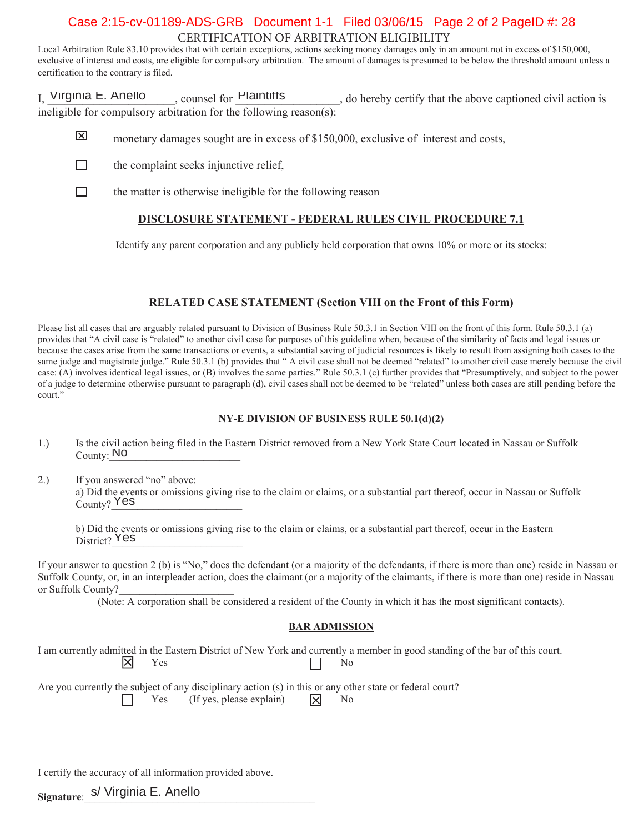# CERTIFICATION OF ARBITRATION ELIGIBILITY Case 2:15-cv-01189-ADS-GRB Document 1-1 Filed 03/06/15 Page 2 of 2 PageID #: 28

Local Arbitration Rule 83.10 provides that with certain exceptions, actions seeking money damages only in an amount not in excess of \$150,000, exclusive of interest and costs, are eligible for compulsory arbitration. The amount of damages is presumed to be below the threshold amount unless a certification to the contrary is filed.

I, Virginia E. Anello equince if  $\text{Planitt}$  and  $\text{Hamitt}$ , do hereby certify that the above captioned civil action is ineligible for compulsory arbitration for the following reason(s): Virginia E. Anello counsel for Plaintiffs

- 冈 monetary damages sought are in excess of \$150,000, exclusive of interest and costs,
- $\Box$ the complaint seeks injunctive relief.
- $\Box$ the matter is otherwise ineligible for the following reason

## **DISCLOSURE STATEMENT - FEDERAL RULES CIVIL PROCEDURE 7.1**

Identify any parent corporation and any publicly held corporation that owns  $10\%$  or more or its stocks:

## **RELATED CASE STATEMENT (Section VIII on the Front of this Form)**

Please list all cases that are arguably related pursuant to Division of Business Rule 50.3.1 in Section VIII on the front of this form. Rule 50.3.1 (a) provides that "A civil case is "related" to another civil case for purposes of this guideline when, because of the similarity of facts and legal issues or because the cases arise from the same transactions or events, a substantial saving of judicial resources is likely to result from assigning both cases to the same judge and magistrate judge." Rule 50.3.1 (b) provides that "A civil case shall not be deemed "related" to another civil case merely because the civil case: (A) involves identical legal issues, or (B) involves the same parties." Rule 50.3.1 (c) further provides that "Presumptively, and subject to the power of a judge to determine otherwise pursuant to paragraph (d), civil cases shall not be deemed to be "related" unless both cases are still pending before the court."

#### **NY-E DIVISION OF BUSINESS RULE 50.1(d)(2)**

- 1.) Is the civil action being filed in the Eastern District removed from a New York State Court located in Nassau or Suffolk County: NO
- 2.) If you answered "no" above: a) Did the events or omissions giving rise to the claim or claims, or a substantial part thereof, occur in Nassau or Suffolk  $\frac{R}{\text{County}}$   $\frac{Yes}{s}$

b) Did the events or omissions giving rise to the claim or claims, or a substantial part thereof, occur in the Eastern District? Yes

If your answer to question 2 (b) is "No," does the defendant (or a majority of the defendants, if there is more than one) reside in Nassau or Suffolk County, or, in an interpleader action, does the claimant (or a majority of the claimants, if there is more than one) reside in Nassau or Suffolk County?

(Note: A corporation shall be considered a resident of the County in which it has the most significant contacts).

#### **BAR ADMISSION**

I am currently admitted in the Eastern District of New York and currently a member in good standing of the bar of this court.  $\mathbb{X}$  $\Gamma$   $\Gamma$  188

Are you currently the subject of any disciplinary action  $(s)$  in this or any other state or federal court? Yes (If yes, please explain)  $\Box$  No

I certify the accuracy of all information provided above.

<sub>Signature:</sub> s/ Virginia E. Anello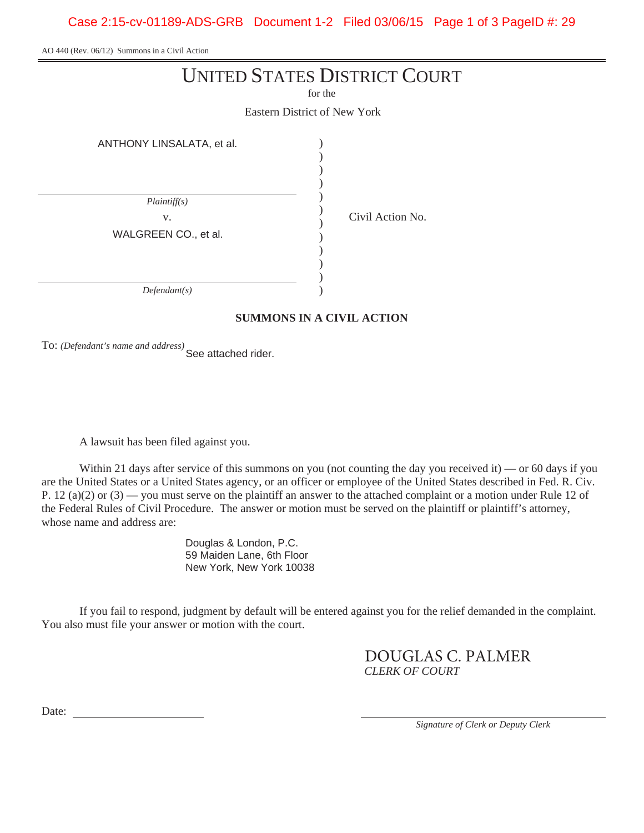Case 2:15-cv-01189-ADS-GRB Document 1-2 Filed 03/06/15 Page 1 of 3 PageID #: 29

AO 440 (Rev. 06/12) Summons in a Civil Action

# UNITED STATES DISTRICT COURT

for the

Eastern District of New York

| ANTHONY LINSALATA, et al. |  |  |  |
|---------------------------|--|--|--|
|                           |  |  |  |
|                           |  |  |  |
|                           |  |  |  |
| Plaintiff(s)              |  |  |  |
| V.                        |  |  |  |
| WALGREEN CO., et al.      |  |  |  |
|                           |  |  |  |
|                           |  |  |  |
|                           |  |  |  |
| Defendant(s)              |  |  |  |
|                           |  |  |  |

# **SUMMONS IN A CIVIL ACTION**

Civil Action No.

To: *(Defendant's name and address)* See attached rider.

A lawsuit has been filed against you.

Within 21 days after service of this summons on you (not counting the day you received it) — or 60 days if you are the United States or a United States agency, or an officer or employee of the United States described in Fed. R. Civ. P. 12 (a)(2) or  $(3)$  — you must serve on the plaintiff an answer to the attached complaint or a motion under Rule 12 of the Federal Rules of Civil Procedure. The answer or motion must be served on the plaintiff or plaintiff's attorney, whose name and address are:

> Douglas & London, P.C. 59 Maiden Lane, 6th Floor New York, New York 10038

If you fail to respond, judgment by default will be entered against you for the relief demanded in the complaint. You also must file your answer or motion with the court.

> *CLERK OF COURT* DOUGLAS C. PALMER

Date:

*Signature of Clerk or Deputy Clerk*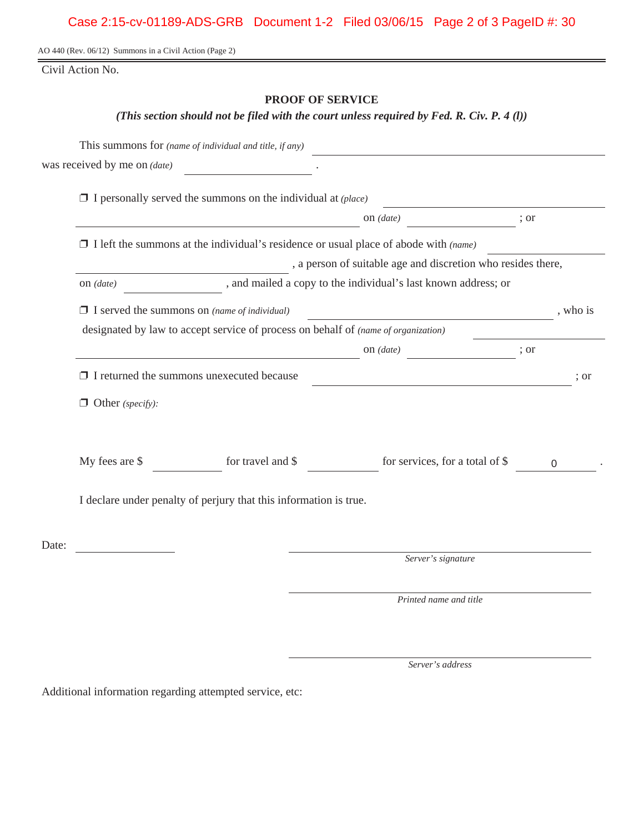AO 440 (Rev. 06/12) Summons in a Civil Action (Page 2)

Civil Action No.

# **PROOF OF SERVICE**

*(This section should not be filed with the court unless required by Fed. R. Civ. P. 4 (l))*

| was received by me on (date) | <u> 1980 - Jan Barbara III, martxa</u>                                                      |                                                                                             |          |          |
|------------------------------|---------------------------------------------------------------------------------------------|---------------------------------------------------------------------------------------------|----------|----------|
|                              | $\Box$ I personally served the summons on the individual at (place)                         |                                                                                             |          |          |
|                              |                                                                                             | on $(date)$                                                                                 | ; or     |          |
|                              | $\Box$ I left the summons at the individual's residence or usual place of abode with (name) |                                                                                             |          |          |
|                              |                                                                                             | a person of suitable age and discretion who resides there,                                  |          |          |
| on $(data)$                  |                                                                                             | , and mailed a copy to the individual's last known address; or                              |          |          |
|                              | $\Box$ I served the summons on (name of individual)                                         |                                                                                             |          | , who is |
|                              | designated by law to accept service of process on behalf of (name of organization)          |                                                                                             |          |          |
|                              |                                                                                             | on $(date)$                                                                                 |          |          |
|                              | $\Box$ I returned the summons unexecuted because                                            | <u> 1980 - Johann Barn, fransk politik (d. 1980)</u>                                        |          | : or     |
| $\Box$ Other (specify):      |                                                                                             |                                                                                             |          |          |
|                              |                                                                                             | My fees are $\text{\$}$ for travel and $\text{\$}$ for services, for a total of $\text{\$}$ | $\Omega$ |          |
|                              | I declare under penalty of perjury that this information is true.                           |                                                                                             |          |          |
| Date:                        |                                                                                             |                                                                                             |          |          |
|                              |                                                                                             | Server's signature                                                                          |          |          |
|                              |                                                                                             | Printed name and title                                                                      |          |          |

*Server's address*

Additional information regarding attempted service, etc: